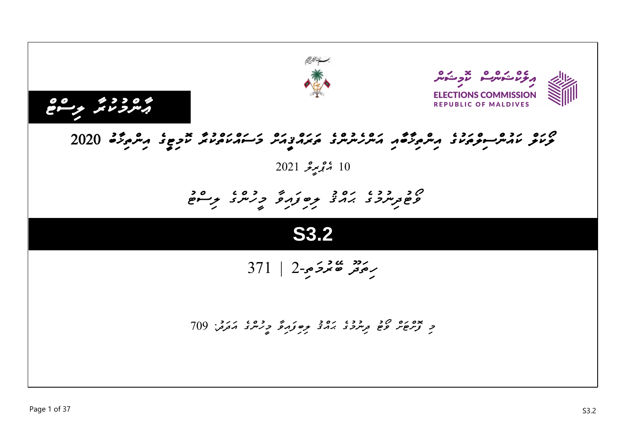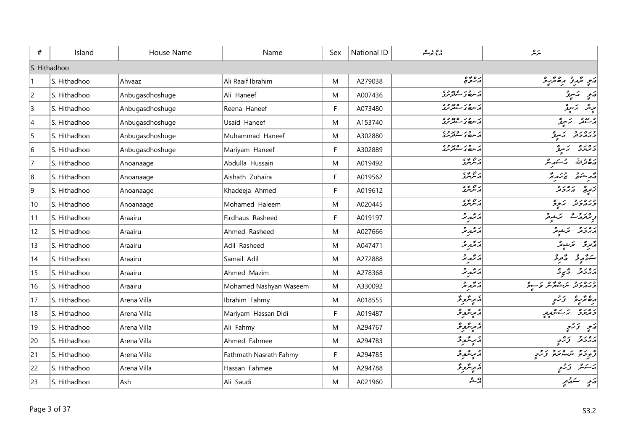| #              | Island       | House Name      | Name                   | Sex       | <b>National ID</b> | ړه پر ه                                     | ىئرىتر                                                                                                                                                                     |
|----------------|--------------|-----------------|------------------------|-----------|--------------------|---------------------------------------------|----------------------------------------------------------------------------------------------------------------------------------------------------------------------------|
|                | S. Hithadhoo |                 |                        |           |                    |                                             |                                                                                                                                                                            |
|                | S. Hithadhoo | Ahvaaz          | Ali Raaif Ibrahim      | M         | A279038            | ر ه ۶ ه<br>در رو م                          | ړې پرېږ ره ټرېږ                                                                                                                                                            |
| $\overline{c}$ | S. Hithadhoo | Anbugasdhoshuge | Ali Haneef             | M         | A007436            | ر سرور ده بود و پر<br>در سرحانی سوفرس       | ړې برس <i>و</i> ژ                                                                                                                                                          |
| $\overline{3}$ | S. Hithadhoo | Anbugasdhoshuge | Reena Haneef           | F         | A073480            | ر سرچ ر ه پو د پ<br>ترسرچ که سوترس          | ىرىتر ئەسرىر                                                                                                                                                               |
| $\overline{4}$ | S. Hithadhoo | Anbugasdhoshuge | Usaid Haneef           | M         | A153740            | ر سرچ ر صور و ۽<br>ترسي <i>ھ ي</i> سنڌ سرپر | ا د سمبر ته بر سر د مسر د استرا د استرا در استرا در سر دارال<br>مستقبل استرا بر سر در سر در سر در سر در سر در سر در سر در سر دارالله بر سر دارالله بر دارالله بر دارالله د |
| 5              | S. Hithadhoo | Anbugasdhoshuge | Muhammad Haneef        | M         | A302880            | ر سرچ ر ه پو د پ<br>ترسرچ که سوترس          | ورەرو برس                                                                                                                                                                  |
| $\sqrt{6}$     | S. Hithadhoo | Anbugasdhoshuge | Mariyam Haneef         | F         | A302889            | ر سرچ ر صور و ۽<br>ترسي <i>ھ ي</i> سنڌ سرپر | دەرە بەر                                                                                                                                                                   |
| $\overline{7}$ | S. Hithadhoo | Anoanaage       | Abdulla Hussain        | ${\sf M}$ | A019492            | بر مړينو <sup>پ</sup> ه                     | رە داللە جەمئىر شر                                                                                                                                                         |
| 8              | S. Hithadhoo | Anoanaage       | Aishath Zuhaira        | F         | A019562            | ر ۾ ءِ ۽<br>مرس                             | ە ئەستىق تى ئەرىتى                                                                                                                                                         |
| 9              | S. Hithadhoo | Anoanaage       | Khadeeja Ahmed         | F         | A019612            | ر ۾ ءِ ۽<br>مرس                             | تزمريح كالمرومر                                                                                                                                                            |
| 10             | S. Hithadhoo | Anoanaage       | Mohamed Haleem         | M         | A020445            | ېر چې په                                    | دره رو در کرده                                                                                                                                                             |
| 11             | S. Hithadhoo | Araairu         | Firdhaus Rasheed       | F         | A019197            | ىر ئىزەر بىر<br>م                           | ويرورو يمسي يزيدونر                                                                                                                                                        |
| 12             | S. Hithadhoo | Araairu         | Ahmed Rasheed          | M         | A027666            | ىر ئىزىر ئىر                                | أركام والمتحر المتركب والمراجح                                                                                                                                             |
| 13             | S. Hithadhoo | Araairu         | Adil Rasheed           | ${\sf M}$ | A047471            | ر پڑ پر ج<br>مرنگر بر                       | ە ئىرقى ئىرىشونىر                                                                                                                                                          |
| 14             | S. Hithadhoo | Araairu         | Samail Adil            | ${\sf M}$ | A272888            | برځېږيز                                     | سَوَّدٍ وَ الْمُعْرِفَرِ                                                                                                                                                   |
| 15             | S. Hithadhoo | Araairu         | Ahmed Mazim            | ${\sf M}$ | A278368            | ر پڑ ہر<br>مرتبہ بر                         | دەر د ئەنى                                                                                                                                                                 |
| 16             | S. Hithadhoo | Araairu         | Mohamed Nashyan Waseem | M         | A330092            | ئەنتىر بىتىر                                | ورەرو برەءە برەر                                                                                                                                                           |
| 17             | S. Hithadhoo | Arena Villa     | Ibrahim Fahmy          | M         | A018555            | ە بېرىتزە قە                                | رەپرىدى ئەرجى                                                                                                                                                              |
| 18             | S. Hithadhoo | Arena Villa     | Mariyam Hassan Didi    | F         | A019487            | دمېرىتر <sub>ىم</sub> ۇ                     | دەرە ئەسكەرىر                                                                                                                                                              |
| 19             | S. Hithadhoo | Arena Villa     | Ali Fahmy              | M         | A294767            | ە بېرىئ <sub>و</sub> ئە                     | أەي تۇرقىي                                                                                                                                                                 |
| 20             | S. Hithadhoo | Arena Villa     | Ahmed Fahmee           | M         | A294783            | دمېرىتىموقە                                 | برەر بەرە                                                                                                                                                                  |
| 21             | S. Hithadhoo | Arena Villa     | Fathmath Nasrath Fahmy | F         | A294785            | دمېرىتىموقە                                 | ومجمع من المعامرة وكرحي                                                                                                                                                    |
| 22             | S. Hithadhoo | Arena Villa     | Hassan Fahmee          | M         | A294788            | ە بېرىئ <sub>و</sub> ئە                     | پرستانلر الورجایی                                                                                                                                                          |
| 23             | S. Hithadhoo | Ash             | Ali Saudi              | M         | A021960            | پرم                                         | أوسمج ستورضي                                                                                                                                                               |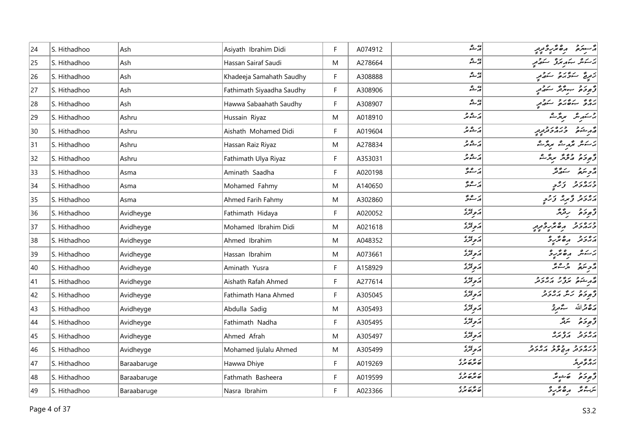| 24 | S. Hithadhoo | Ash         | Asiyath Ibrahim Didi      | F           | A074912 | ايرثه                                       | أثم سوره المره مشر والمعرور                 |
|----|--------------|-------------|---------------------------|-------------|---------|---------------------------------------------|---------------------------------------------|
| 25 | S. Hithadhoo | Ash         | Hassan Sairaf Saudi       | M           | A278664 | ائەشە                                       |                                             |
| 26 | S. Hithadhoo | Ash         | Khadeeja Samahath Saudhy  | F           | A308888 | لدمشر                                       | ر ديده سور د در در ديد.<br>زېږي سودره سوړنو |
| 27 | S. Hithadhoo | Ash         | Fathimath Siyaadha Saudhy | F           | A308906 | پر ہے                                       | و و د د مورد و د د د به                     |
| 28 | S. Hithadhoo | Ash         | Hawwa Sabaahath Saudhy    | $\mathsf F$ | A308907 | لدمشر                                       |                                             |
| 29 | S. Hithadhoo | Ashru       | Hussain Riyaz             | M           | A018910 | بريثه بمر                                   | بر کے مرکز مرکز کے                          |
| 30 | S. Hithadhoo | Ashru       | Aishath Mohamed Didi      | F           | A019604 | بريثه بمر                                   |                                             |
| 31 | S. Hithadhoo | Ashru       | Hassan Raiz Riyaz         | M           | A278834 | بريثه بمر                                   | ئەسكەش ئۇرىشە بىر ئ <sup>ۇرى</sup>          |
| 32 | S. Hithadhoo | Ashru       | Fathimath Ulya Riyaz      | $\mathsf F$ | A353031 | بريثه بمر                                   | و دو ده دره د                               |
| 33 | S. Hithadhoo | Asma        | Aminath Saadha            | F           | A020198 | ەرمەيج                                      | أوجا سكرو المتعادين                         |
| 34 | S. Hithadhoo | Asma        | Mohamed Fahmy             | M           | A140650 | ەرمەيج                                      | وره رو در رو                                |
| 35 | S. Hithadhoo | Asma        | Ahmed Farih Fahmy         | ${\sf M}$   | A302860 | برْعة                                       | برودو ومرو ورو                              |
| 36 | S. Hithadhoo | Avidheyge   | Fathimath Hidaya          | $\mathsf F$ | A020052 | <br>  پرې قری                               | وَجودَ وَرَمَّزُ                            |
| 37 | S. Hithadhoo | Avidheyge   | Mohamed Ibrahim Didi      | M           | A021618 | پر پر پر<br> پر عربی                        | ورەرو مەگرىۋىرىر                            |
| 38 | S. Hithadhoo | Avidheyge   | Ahmed Ibrahim             | ${\sf M}$   | A048352 | بر په په<br>مر                              | رەرو مەمۇرو                                 |
| 39 | S. Hithadhoo | Avidheyge   | Hassan Ibrahim            | ${\sf M}$   | A073661 | پروتری                                      | برسكش مرەغرىر                               |
| 40 | S. Hithadhoo | Avidheyge   | Aminath Yusra             | F           | A158929 | پر پر پر<br> پروگرد                         | أوجه سره والمستور                           |
| 41 | S. Hithadhoo | Avidheyge   | Aishath Rafah Ahmed       | F           | A277614 | پر پر پر<br>  پر موتر پر                    | د د شو د د د د د د د د                      |
| 42 | S. Hithadhoo | Avidheyge   | Fathimath Hana Ahmed      | $\mathsf F$ | A305045 | ر<br>مرغ تر د                               | قر برو ارتد ار مار و                        |
| 43 | S. Hithadhoo | Avidheyge   | Abdulla Sadig             | M           | A305493 | پروتری                                      | أرة قرالله جورتمو                           |
| 44 | S. Hithadhoo | Avidheyge   | Fathimath Nadha           | $\mathsf F$ | A305495 | پر پر پر<br> پر عربی                        | و و د د کردگر                               |
| 45 | S. Hithadhoo | Avidheyge   | Ahmed Afrah               | M           | A305497 | پر پر پر<br> پر عربی                        | ر ه ر د دره دره                             |
| 46 | S. Hithadhoo | Avidheyge   | Mohamed Ijulalu Ahmed     | ${\sf M}$   | A305499 | پرېږي.<br> پرېږ                             | ورەرو مەنزىق مەدرو                          |
| 47 | S. Hithadhoo | Baraabaruge | Hawwa Dhiye               | F           | A019269 | ر پر د ،<br>ن <i>ه ب</i> رن بر <sub>د</sub> |                                             |
| 48 | S. Hithadhoo | Baraabaruge | Fathmath Basheera         | F           | A019599 | ر پر د ،<br>ن <i>ه ب</i> رن بر د            |                                             |
| 49 | S. Hithadhoo | Baraabaruge | Nasra Ibrahim             | F           | A023366 | ر بر د بر<br>ن <i>ن پره</i>                 |                                             |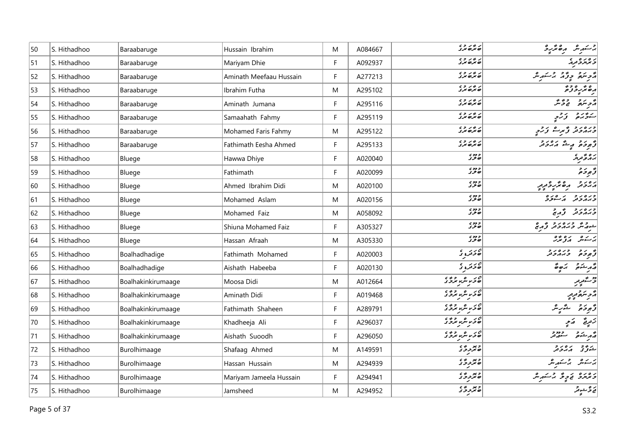| 50 | S. Hithadhoo | Baraabaruge        | Hussain Ibrahim         | M  | A084667 | ر بر د د<br>ت <i>ه ب</i> ره برد  | جسكريثر المقتربة                                        |
|----|--------------|--------------------|-------------------------|----|---------|----------------------------------|---------------------------------------------------------|
| 51 | S. Hithadhoo | Baraabaruge        | Mariyam Dhie            | F. | A092937 | ر بر د د<br>ت <i>ن پ</i> رې      | ر ه ر ه ر ه                                             |
| 52 | S. Hithadhoo | Baraabaruge        | Aminath Meefaau Hussain | F. | A277213 | ر بر د د<br>ت <i>ن پ</i> رې      | أوسم وإلا بالمرشر                                       |
| 53 | S. Hithadhoo | Baraabaruge        | Ibrahim Futha           | M  | A295102 | ر بر د د<br>ت <i>ه ب</i> ره برد  |                                                         |
| 54 | S. Hithadhoo | Baraabaruge        | Aminath Jumana          | F  | A295116 | ر بر د د<br>ت <i>ن پره</i>       |                                                         |
| 55 | S. Hithadhoo | Baraabaruge        | Samaahath Fahmy         | F  | A295119 | ر پور و ،<br>ن <i>ه بو</i> ن بور | كموتر ورو                                               |
| 56 | S. Hithadhoo | Baraabaruge        | Mohamed Faris Fahmy     | M  | A295122 | ر بر د د<br>ت <i>ن پ</i> رې      | ورەرو ۋىر ئورد <sub>ۇ</sub>                             |
| 57 | S. Hithadhoo | Baraabaruge        | Fathimath Eesha Ahmed   | F  | A295133 | ر پور و ،<br>ن <i>ن نگرۍ</i> تور | و دو ميشوره دو.<br>وگوځو ميشو کردونر                    |
| 58 | S. Hithadhoo | Bluege             | Hawwa Dhiye             | F  | A020040 | و دو ،<br>ن مو د                 | <br>  پروڅونونژ                                         |
| 59 | S. Hithadhoo | Bluege             | Fathimath               | F. | A020099 | و دو بر<br>ن عر                  | ۇ بور د                                                 |
| 60 | S. Hithadhoo | Bluege             | Ahmed Ibrahim Didi      | M  | A020100 | د دد ،<br>حنور                   | גם גב הפיצי פעט                                         |
| 61 | S. Hithadhoo | Bluege             | Mohamed Aslam           | M  | A020156 | و دو بر<br>ن <i>ن ت</i> ر ک      | ورەرو پەرەرە                                            |
| 62 | S. Hithadhoo | Bluege             | Mohamed Faiz            | M  | A058092 | و دو بر<br>ن عر                  | ورەر د ۋر                                               |
| 63 | S. Hithadhoo | Bluege             | Shiuna Mohamed Faiz     | F  | A305327 | و دو ،<br>ن عر                   | جوړه وره دو و ه                                         |
| 64 | S. Hithadhoo | Bluege             | Hassan Afraah           | M  | A305330 | و دو ،<br>ن مو د                 | يركسكان الروائون                                        |
| 65 | S. Hithadhoo | Boalhadhadige      | Fathimath Mohamed       | F. | A020003 |                                  | و ده دره در                                             |
| 66 | S. Hithadhoo | Boalhadhadige      | Aishath Habeeba         | F. | A020130 | 0ء پر پر پہ<br> ھوتىرو ئ         |                                                         |
| 67 | S. Hithadhoo | Boalhakinkirumaage | Moosa Didi              | M  | A012664 | ەر<br>ھۆرىدىرىرى دە              | دد<br>تر گ <sub>شتر</sub> در<br>پ                       |
| 68 | S. Hithadhoo | Boalhakinkirumaage | Aminath Didi            | F. | A019468 | ەر<br>ھۈرىدىدىرىدى               | و<br>د گر سکونورمبر                                     |
| 69 | S. Hithadhoo | Boalhakinkirumaage | Fathimath Shaheen       | F  | A289791 | ەر مەرجەت<br>ھىرىر شرىر بىرى     | ڪ پڻ پير<br>پ                                           |
| 70 | S. Hithadhoo | Boalhakinkirumaage | Khadheeja Ali           | F  | A296037 | ەر مەرجوي<br>ھۈرمىر              | ر<br>ترمړنځ اوکمنځ                                      |
| 71 | S. Hithadhoo | Boalhakinkirumaage | Aishath Suoodh          | F  | A296050 | ەر مەر دەر.<br>ھۆر شەرىرى        | پ <sup>ر</sup> در شوځ<br>ر و دو و<br>مستوج <i>د ف</i> ر |
| 72 | S. Hithadhoo | Burolhimaage       | Shafaag Ahmed           | M  | A149591 | و پوځ په<br>ن مربو تر ی          | ے وٌ تی<br>پروژو                                        |
| 73 | S. Hithadhoo | Burolhimaage       | Hassan Hussain          | M  | A294939 | د بر پر پر<br>ص مربر د پر        | يز سندها الرحم بر شر                                    |
| 74 | S. Hithadhoo | Burolhimaage       | Mariyam Jameela Hussain | F. | A294941 | د بر<br>ن مربو د د               | دەرە يەچ ئەسكەر                                         |
| 75 | S. Hithadhoo | Burolhimaage       | Jamsheed                | M  | A294952 | و پر پر پر<br>ن <i>ن تر و</i> پر | ر و <sub>شی</sub> وتر                                   |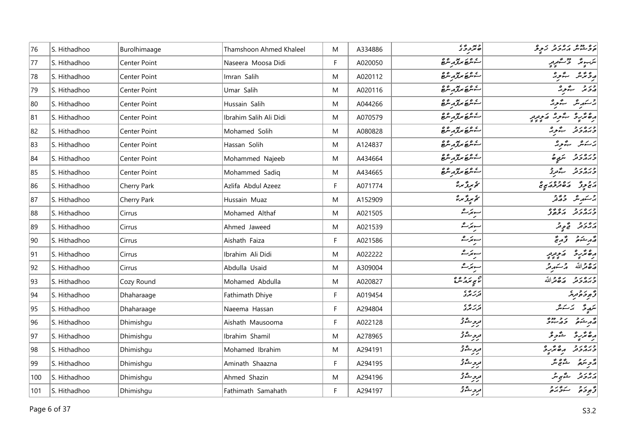| 76  | S. Hithadhoo | Burolhimaage        | Thamshoon Ahmed Khaleel | M  | A334886 | د بو په په<br>  حامربر د د                    | ره دوه ره رو تروی                                 |
|-----|--------------|---------------------|-------------------------|----|---------|-----------------------------------------------|---------------------------------------------------|
| 77  | S. Hithadhoo | Center Point        | Naseera Moosa Didi      | F  | A020050 | ے مربع مرزم مربع<br>  سنسریع مرزم مربع        | يرسوند - 3 سگورور                                 |
| 78  | S. Hithadhoo | Center Point        | Imran Salih             | M  | A020112 | <u>شوهري پرتور مره</u>                        | رەپرىر بەدە                                       |
| 79  | S. Hithadhoo | Center Point        | Umar Salih              | M  | A020116 | ع عربه بعد وه<br>سنور مرتور مرتبع             | ورو بەدە                                          |
| 80  | S. Hithadhoo | <b>Center Point</b> | Hussain Salih           | M  | A044266 | مەمرى <i>ي بىر ۋە بىر ھ</i>                   | يزخير شه الشور                                    |
| 81  | S. Hithadhoo | Center Point        | Ibrahim Salih Ali Didi  | M  | A070579 | ء عرض يو مركز مركبا<br>مسائل مركز مركبات      | رەپرىدۇ. سۇمەك كەمدىرىر                           |
| 82  | S. Hithadhoo | Center Point        | Mohamed Solih           | M  | A080828 | ء عرض يو مركز مركبا<br>مسائل مركز مركبات      | ورەرو پۇرۇ                                        |
| 83  | S. Hithadhoo | Center Point        | Hassan Solih            | M  | A124837 | ء عرض يو مركز مركبا<br>مسائل مركز مركبات      | ىزىكەش بەلۇر                                      |
| 84  | S. Hithadhoo | <b>Center Point</b> | Mohammed Najeeb         | M  | A434664 | <u>ے وگریز مرکز مرک</u>                       | ورەر دېر كړې ه                                    |
| 85  | S. Hithadhoo | Center Point        | Mohammed Sadiq          | M  | A434665 | <u>شور موز</u> ر مرقع                         | ورەرو ئورو                                        |
| 86  | S. Hithadhoo | Cherry Park         | Azlifa Abdul Azeez      | F  | A071774 | ى<br>ئۈمپەر <i>كە</i> ر                       | ر د در ده ده د په چ                               |
| 87  | S. Hithadhoo | Cherry Park         | Hussain Muaz            | M  | A152909 | كخ موقر مررثا                                 | جر شهر مدارد و در جارجه                           |
| 88  | S. Hithadhoo | Cirrus              | Mohamed Althaf          | M  | A021505 | سەپرىشە                                       | ورەرو رەپەە<br>جەمەدىر مەرچ                       |
| 89  | S. Hithadhoo | Cirrus              | Ahmed Jaweed            | M  | A021539 | سەپرىشە                                       | رەرد ئ <sub>ە</sub> رد<br>مەددىر ق <sub>ە</sub> م |
| 90  | S. Hithadhoo | Cirrus              | Aishath Faiza           | F  | A021586 | سەپرىشە                                       | وكرمشكم وكردنج                                    |
| 91  | S. Hithadhoo | Cirrus              | Ibrahim Ali Didi        | M  | A022222 | سەپرىشە                                       | رەپرىر كەرىرىر                                    |
| 92  | S. Hithadhoo | Cirrus              | Abdulla Usaid           | M  | A309004 | سەپرىشە                                       | مَدْهِ مِنْ اللّهِ مَنْ مَدْمِرْمَّد              |
| 93  | S. Hithadhoo | Cozy Round          | Mohamed Abdulla         | M  | A020827 | م پر بر و ه<br>  ما پ <sub>و</sub> بر بر مربع | وره رو ده دالله                                   |
| 94  | S. Hithadhoo | Dhaharaage          | Fathimath Dhiye         | F. | A019454 | ر ر بر د<br>ترر بر د                          | وٌجوحوحوجر                                        |
| 95  | S. Hithadhoo | Dhaharaage          | Naeema Hassan           | F  | A294804 | ر ر بر د<br>ترر بر <sub>ک</sub>               | سَمِيرَةُ الْمُسَاسَرِ                            |
| 96  | S. Hithadhoo | Dhimishqu           | Aishath Mausooma        | F  | A022128 | تعری <sup>و دی</sup> دی<br>  <u>حرک</u>       | وكرشكا والمردون                                   |
| 97  | S. Hithadhoo | Dhimishqu           | Ibrahim Shamil          | M  | A278965 | امروڪڙ<br>ڪ                                   | دەندېرد<br>ستگرگر                                 |
| 98  | S. Hithadhoo | Dhimishgu           | Mohamed Ibrahim         | M  | A294191 | تروشود<br>تروشوتو                             |                                                   |
| 99  | S. Hithadhoo | Dhimishqu           | Aminath Shaazna         | F  | A294195 | امروڪڙ<br>ڪ                                   | شەھ ب <i>ىر</i><br>أرمز                           |
| 100 | S. Hithadhoo | Dhimishqu           | Ahmed Shazin            | M  | A294196 | ور و شوتو<br>مرم                              | رەرد ھەم بىر<br>مەدىر ھەم                         |
| 101 | S. Hithadhoo | Dhimishgu           | Fathimath Samahath      | F. | A294197 | اور و مقوتو<br>س                              | أقرجوج المتوجدة                                   |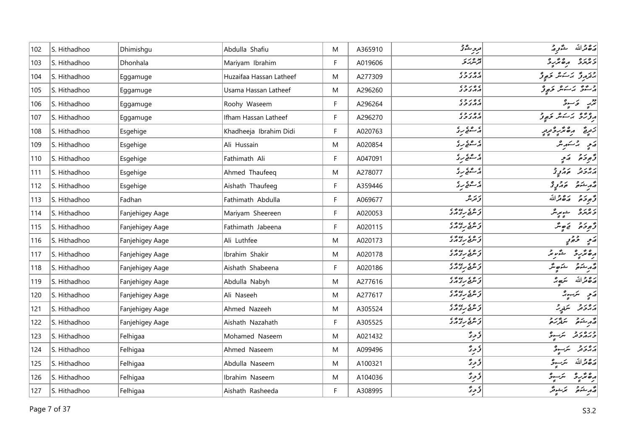| 102 | S. Hithadhoo | Dhimishqu       | Abdulla Shafiu          | M         | A365910 | اور و مش <sup>و</sup> نح<br><u>مدم</u>    | 200 مرالله مشرور                                         |
|-----|--------------|-----------------|-------------------------|-----------|---------|-------------------------------------------|----------------------------------------------------------|
| 103 | S. Hithadhoo | Dhonhala        | Mariyam Ibrahim         | F         | A019606 | يو ەرىر<br>تىرىترىرى                      | ومره مصريرة                                              |
| 104 | S. Hithadhoo | Eggamuge        | Huzaifaa Hassan Latheef | M         | A277309 | ، ه ر و ،<br>پرو ژ ژ                      | برنرور ترےپر تروری                                       |
| 105 | S. Hithadhoo | Eggamuge        | Usama Hassan Latheef    | M         | A296260 | ، ه ر و ،<br>پر پر <del>ر</del> ر         | د خۇ ئەسەھ ئەرۇ                                          |
| 106 | S. Hithadhoo | Eggamuge        | Roohy Waseem            | F         | A296264 | 55599                                     | دد كەسىدۇ.<br>ئىرگە كەسىدۇ                               |
| 107 | S. Hithadhoo | Eggamuge        | Ifham Hassan Latheef    | F         | A296270 | 55500                                     | ە ئەمەر ئەسەر ئەر <mark>ج</mark>                         |
| 108 | S. Hithadhoo | Esgehige        | Khadheeja Ibrahim Didi  | F         | A020763 | ې ده پې دی<br>د کشفو پرې                  | زَىرِيَّ رەھ ئەرۋىرىر                                    |
| 109 | S. Hithadhoo | Esgehige        | Ali Hussain             | ${\sf M}$ | A020854 | ې مه هم په دي<br>مرگ مقب <sup>ا</sup> ر د | ە ئەسىر ئەسىر                                            |
| 110 | S. Hithadhoo | Esgehige        | Fathimath Ali           | F.        | A047091 | ې مه هم د مخ<br>مرگ                       | و مر د<br>ارگوره<br>ەكەمبر                               |
| 111 | S. Hithadhoo | Esgehige        | Ahmed Thaufeeg          | M         | A278077 | ې مه هم په دي<br>مرگ                      | پروژبر<br>ر د د د د                                      |
| 112 | S. Hithadhoo | Esgehige        | Aishath Thaufeeg        | F.        | A359446 | ې ده يې په <sup>ي</sup>                   | و المستوفر المعروفي                                      |
| 113 | S. Hithadhoo | Fadhan          | Fathimath Abdulla       | F         | A069677 | تزترهر                                    | ەھىراللە<br>و څو څخه                                     |
| 114 | S. Hithadhoo | Fanjehigey Aage | Mariyam Sheereen        | F         | A020053 | ر ه ، د ، ، ، ،<br> ز سرچ ر د د د         | ر ه ر ه<br><del>ر</del> بربرگ<br>شومریگر<br><u>پ</u> ر و |
| 115 | S. Hithadhoo | Fanjehigey Aage | Fathimath Jabeena       | F         | A020115 | ر ه ، د ، ، ، ،<br> ز نتریج ر د د د       | ژُودَهْ يَصِدُّ                                          |
| 116 | S. Hithadhoo | Fanjehigey Aage | Ali Luthfee             | M         | A020173 | ر ۵ می دی د<br>توسیع ری در د              | أركموا المحجومي                                          |
| 117 | S. Hithadhoo | Fanjehigey Aage | Ibrahim Shakir          | M         | A020178 | ر وء ريرو ۽<br>ارس                        | دە ئەرە<br>ىشكە بىر                                      |
| 118 | S. Hithadhoo | Fanjehigey Aage | Aishath Shabeena        | F         | A020186 | ر ه ، د ، ، ، ،<br> ز سرچ ر د د د         | ۇ مەشىرە<br>مەر شىم<br>شەھ س                             |
| 119 | S. Hithadhoo | Fanjehigey Aage | Abdulla Nabyh           | M         | A277616 | ر ه ، په د ،<br>از سرچ ر د د د            | برە قرالله<br>سرەبر                                      |
| 120 | S. Hithadhoo | Fanjehigey Aage | Ali Naseeh              | M         | A277617 | تر ۵ می در ۲۵ میلی<br>توسیع مرتو از ت     | أرجمع الكرسبور                                           |
| 121 | S. Hithadhoo | Fanjehigey Aage | Ahmed Nazeeh            | M         | A305524 | ر و ۽ پريو ۽<br>توسيع پري پري             | رەر ئىرى <i>ر</i>                                        |
| 122 | S. Hithadhoo | Fanjehigey Aage | Aishath Nazahath        | F         | A305525 | <br> زیرهٔ سرد مرد                        | پر بر بر ح<br>سرفتر <i>م</i> تر<br>و مر شو د<br>م        |
| 123 | S. Hithadhoo | Felhigaa        | Mohamed Naseem          | M         | A021432 | ى<br>توعرى                                | و ر ه ر د<br>تر پر ژ تر<br>ىئرسەۋ                        |
| 124 | S. Hithadhoo | Felhigaa        | Ahmed Naseem            | M         | A099496 | ى<br>توىرى<br>╭                           | ر ەر د<br>م.روتر<br>ىئرسەۋ                               |
| 125 | S. Hithadhoo | Felhigaa        | Abdulla Naseem          | M         | A100321 | ې<br>تومير                                | برە تراللە<br>ىئرسەۋ                                     |
| 126 | S. Hithadhoo | Felhigaa        | Ibrahim Naseem          | M         | A104036 | ء<br>ار ور                                | ە ھەترىر <sup>ە</sup>                                    |
| 127 | S. Hithadhoo | Felhigaa        | Aishath Rasheeda        | F         | A308995 | ې<br>توميرگ                               | مەر شەھ ئىر شوقە                                         |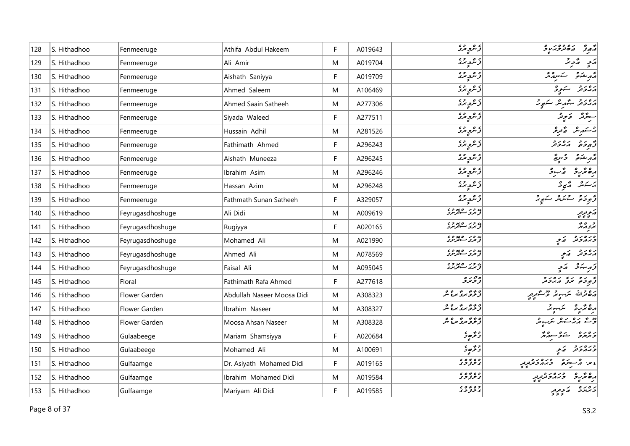| 128 | S. Hithadhoo | Fenmeeruge       | Athifa Abdul Hakeem        | F. | A019643 | ئۇيۇچە يەرى                                                |                                      |
|-----|--------------|------------------|----------------------------|----|---------|------------------------------------------------------------|--------------------------------------|
| 129 | S. Hithadhoo | Fenmeeruge       | Ali Amir                   | M  | A019704 | ۇ ئىرىپە بىرى                                              | أوسمج وتحريمه                        |
| 130 | S. Hithadhoo | Fenmeeruge       | Aishath Saniyya            | F  | A019709 | ئۇيۇ <sub>چە جو</sub> ي                                    | و مر شو د<br>سەسەر                   |
| 131 | S. Hithadhoo | Fenmeeruge       | Ahmed Saleem               | M  | A106469 | ع مر <sub>ح</sub> پر <sub>م</sub>                          | ړه رو کروه                           |
| 132 | S. Hithadhoo | Fenmeeruge       | Ahmed Saain Satheeh        | M  | A277306 | ع مر <sub>ح</sub> پر <sub>و</sub> ۽                        | رەرو بەرش سەر                        |
| 133 | S. Hithadhoo | Fenmeeruge       | Siyada Waleed              | F  | A277511 | ۇ ئىرىپە برى                                               | سيركثر كالمحيض                       |
| 134 | S. Hithadhoo | Fenmeeruge       | Hussain Adhil              | M  | A281526 | ې ه<br>تر سر <sub>تی</sub> نر <sub>د</sub>                 | يز سەر شەھ ئە ئەربى                  |
| 135 | S. Hithadhoo | Fenmeeruge       | Fathimath Ahmed            | F  | A296243 | ۇ ئىرىپە برى                                               | و ده ده دورد                         |
| 136 | S. Hithadhoo | Fenmeeruge       | Aishath Muneeza            | F. | A296245 | ع مر <sub>ح</sub> پر <sub>ى</sub>                          | وكركو وسيح                           |
| 137 | S. Hithadhoo | Fenmeeruge       | Ibrahim Asim               | M  | A296246 | ع مر <sub>ح</sub> پر <sub>ى</sub>                          | دە ئەرد<br>رمجہ ہے                   |
| 138 | S. Hithadhoo | Fenmeeruge       | Hassan Azim                | M  | A296248 | ع مر <sub>ح</sub> پر <sub>ى</sub>                          | برسەنىر<br>ەمجى بى                   |
| 139 | S. Hithadhoo | Fenmeeruge       | Fathmath Sunan Satheeh     | F  | A329057 | ع مر <sub>ح</sub> ديد ع                                    | و <i>گيرده سنترش سکيږ</i> د          |
| 140 | S. Hithadhoo | Feyrugasdhoshuge | Ali Didi                   | M  | A009619 | ده و ر _ ه مو و ه<br>قر مرد سوفرمرد                        | ړ و تر تر<br>په پ                    |
| 141 | S. Hithadhoo | Feyrugasdhoshuge | Rugiyya                    | F  | A020165 |                                                            | بمزة وهر                             |
| 142 | S. Hithadhoo | Feyrugasdhoshuge | Mohamed Ali                | M  | A021990 | ده و ر<br>تو بو ی سوتورموی                                 | ورەرو كەي                            |
| 143 | S. Hithadhoo | Feyrugasdhoshuge | Ahmed Ali                  | M  | A078569 | ، پر در ه پر د ،<br>د برد سوتر در                          | پروژ په په                           |
| 144 | S. Hithadhoo | Feyrugasdhoshuge | Faisal Ali                 | M  | A095045 | ده و ر ر ه پو و ه<br>تو بوی سوتوروی                        | أقارب يمثوا أمكاسي                   |
| 145 | S. Hithadhoo | Floral           | Fathimath Rafa Ahmed       | F  | A277618 | وي پر ہ                                                    | و و د د د ده د و                     |
| 146 | S. Hithadhoo | Flower Garden    | Abdullah Naseer Moosa Didi | M  | A308323 | ە بەيدىن بىرە بىر<br>ئ <i>ر قرىق تىر</i> ئ                 | رە داللە تىرب دىن ئورىر              |
| 147 | S. Hithadhoo | Flower Garden    | Ibrahim Naseer             | M  | A308327 | ە مەم بەر ە بەر<br>ئۇ خرىگە ئەر ئەنگە                      | رەڭرىۋە سەببەتى                      |
| 148 | S. Hithadhoo | Flower Garden    | Moosa Ahsan Naseer         | M  | A308328 | ە بەيرىسى بىرە<br>ئوخر <i>ە ئىرى</i> بىر                   | وقت مەرق ئەس ئىرلىدى                 |
| 149 | S. Hithadhoo | Gulaabeege       | Mariam Shamsiyya           | F  | A020684 | د و هو د<br>د قرچ د                                        | נ סנס מספר המית.<br>המיתה הייבל המית |
| 150 | S. Hithadhoo | Gulaabeege       | Mohamed Ali                | M  | A100691 | و و مي<br>د گريمو د                                        | ورەرد كەي                            |
| 151 | S. Hithadhoo | Gulfaamge        | Dr. Asiyath Mohamed Didi   | F. | A019165 | وه پ <sup>ر</sup> ه پ<br><sub>ک</sub> نوتو تر <sub>ک</sub> | ٤ بو. اگر سهره و در ورو و در ور      |
| 152 | S. Hithadhoo | Gulfaamge        | Ibrahim Mohamed Didi       | M  | A019584 | وه پ <sup>ر</sup> ه پ<br><sub>ک</sub> نوتو تر <sub>ک</sub> | رە ئەرە دىرەردىر                     |
| 153 | S. Hithadhoo | Gulfaamge        | Mariyam Ali Didi           | F  | A019585 | وه پره پر<br><b>بر <del>ت</del>ر</b> تر بر                 | ر وره<br>د بربرو گروپرې              |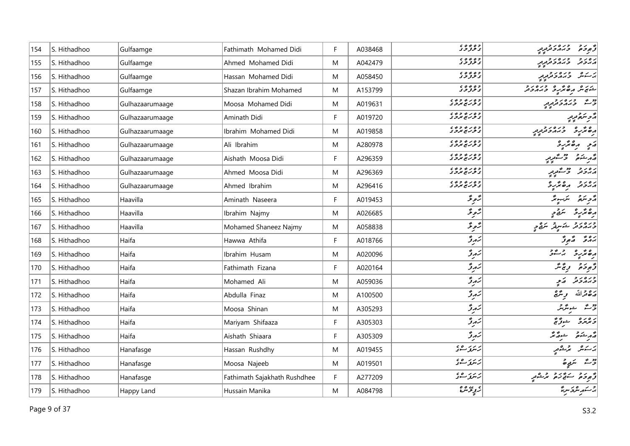| 154 | S. Hithadhoo  | Gulfaamge       | Fathimath Mohamed Didi       | F           | A038468 | د ه و ه ه ،<br>د <del>و</del> تو و د                       | و دره دره در در در در در بر                                                                                                                                                                                                    |
|-----|---------------|-----------------|------------------------------|-------------|---------|------------------------------------------------------------|--------------------------------------------------------------------------------------------------------------------------------------------------------------------------------------------------------------------------------|
| 155 | S. Hithadhoo  | Gulfaamge       | Ahmed Mohamed Didi           | M           | A042479 | وه پ <sup>ر</sup> ه بر<br>د <del>و</del> تو <del>و</del> د | ر <i>ہ دے ۔ دے د</i> ور و<br>در دو تر و بر دو تر تر تر                                                                                                                                                                         |
| 156 | S. Hithadhoo  | Gulfaamge       | Hassan Mohamed Didi          | M           | A058450 | وه پ <sup>ر</sup> ه بر<br>د <del>و</del> تو <del>و</del> د | ير عمر المستخدم المستخدم المستخدم المستخدم المستخدم المستخدم المستخدم المستخدم المستخدم المستخدم الم                                                                                                                           |
| 157 | S. Hithadhoo  | Gulfaamge       | Shazan Ibrahim Mohamed       | M           | A153799 | و ه و ه ه ،<br>د <del>و</del> تو <del>و</del> د            | در ه د ه عرب و د ۲۵۷۶<br>شویم س د ه عرب و بربروتر                                                                                                                                                                              |
| 158 | S. Hithadhoo  | Gulhazaarumaage | Moosa Mohamed Didi           | M           | A019631 | و ه د پر و پر د<br>د نورنځ ندو د                           | دو ۱۵۷۶ ورورو<br>در در در در در در در ب                                                                                                                                                                                        |
| 159 | S. Hithadhoo  | Gulhazaarumaage | Aminath Didi                 | F           | A019720 | و ه ر بر و د ،<br>د <del>ن</del> وربخ بودگ                 | ړګو سره در در                                                                                                                                                                                                                  |
| 160 | S. Hithadhoo  | Gulhazaarumaage | Ibrahim Mohamed Didi         | M           | A019858 | و ه ر بر و د ،<br>د <del>ن</del> وربخ بودگ                 | ە بەر دىرە دىرى<br>مەمگرى دىمەددىرى                                                                                                                                                                                            |
| 161 | S. Hithadhoo  | Gulhazaarumaage | Ali Ibrahim                  | M           | A280978 | و ه ر ږ و ږ ،<br>د <del>ن</del> ر رنځ بورنۍ                |                                                                                                                                                                                                                                |
| 162 | S. Hithadhoo  | Gulhazaarumaage | Aishath Moosa Didi           | F           | A296359 | و ه ر پر و پر د<br>د نوربخ بودگ                            | و ديده د د و در در در د                                                                                                                                                                                                        |
| 163 | lS. Hithadhoo | Gulhazaarumaage | Ahmed Moosa Didi             | M           | A296369 | و ه ر بر و د ،<br>د <del>ن</del> وربخ بودگ                 | ره رو دو عبد در در در این مورد در این مورد در این در این در این در این کار در این در این در این در این در این<br>این در این مورد در این در این در این در این در این در این در این در این در این در این در این در این در این در |
| 164 | S. Hithadhoo  | Gulhazaarumaage | Ahmed Ibrahim                | M           | A296416 | و ہ در بر و بر بر<br>تح <b>ر</b> مرکز تر                   | ג פי כי השיתיים                                                                                                                                                                                                                |
| 165 | S. Hithadhoo  | Haavilla        | Aminath Naseera              | F           | A019453 | رَّحْ وَ وَ                                                | أرمز تركم<br>ىئرسېدىتى                                                                                                                                                                                                         |
| 166 | S. Hithadhoo  | Haavilla        | Ibrahim Najmy                | M           | A026685 | رٌّہ ِ رُّ                                                 | ەر ھەتمەر 2<br>رەھ تىر بەر<br>سرة و                                                                                                                                                                                            |
| 167 | lS. Hithadhoo | Haavilla        | Mohamed Shaneez Najmy        | M           | A058838 | ر<br>روپو                                                  | ورەرو ئەسنى ئىقى                                                                                                                                                                                                               |
| 168 | S. Hithadhoo  | Haifa           | Hawwa Athifa                 | F           | A018766 | ئەد ۋ                                                      | رە ئەرئى                                                                                                                                                                                                                       |
| 169 | S. Hithadhoo  | Haifa           | Ibrahim Husam                | M           | A020096 | تەرىۋ                                                      | دە ئېرىۋ<br>برميز                                                                                                                                                                                                              |
| 170 | S. Hithadhoo  | Haifa           | Fathimath Fizana             | $\mathsf F$ | A020164 | تەرىخ                                                      | قَەدە رىتىگە                                                                                                                                                                                                                   |
| 171 | S. Hithadhoo  | Haifa           | Mohamed Ali                  | M           | A059036 | ئەر ۋ                                                      | دره رو پر کرد                                                                                                                                                                                                                  |
| 172 | S. Hithadhoo  | Haifa           | Abdulla Finaz                | M           | A100500 | تەدۋ                                                       | ەھىراللە<br>و شرِّج                                                                                                                                                                                                            |
| 173 | S. Hithadhoo  | Haifa           | Moosa Shinan                 | M           | A305293 | ئەر ۋ                                                      | <sup>وو</sup> گ شەم <i>ۇرىر</i>                                                                                                                                                                                                |
| 174 | S. Hithadhoo  | Haifa           | Mariyam Shifaaza             | $\mathsf F$ | A305303 | ئەد ۋ                                                      | رەرە ئىبۇنج                                                                                                                                                                                                                    |
| 175 | S. Hithadhoo  | Haifa           | Aishath Shiaara              | F           | A305309 | ئەدۋ                                                       | وكركو كالمحر                                                                                                                                                                                                                   |
| 176 | S. Hithadhoo  | Hanafasge       | Hassan Rushdhy               | M           | A019455 | ر بربر ۲۵<br>رسرتی کسیو                                    | برسەمىر برىشور                                                                                                                                                                                                                 |
| 177 | S. Hithadhoo  | Hanafasge       | Moosa Najeeb                 | M           | A019501 | ر پرې <i>ز ۵</i> په                                        | وحد سكورة                                                                                                                                                                                                                      |
| 178 | S. Hithadhoo  | Hanafasge       | Fathimath Sajakhath Rushdhee | F           | A277209 | ر بر د ه <sup>ه</sup>                                      | و دو دورو وهېږ                                                                                                                                                                                                                 |
| 179 | S. Hithadhoo  | Happy Land      | Hussain Manika               | M           | A084798 | ئۇبۇ ئەمى                                                  | جر سەمرىكرى ئىبرىد                                                                                                                                                                                                             |
|     |               |                 |                              |             |         |                                                            |                                                                                                                                                                                                                                |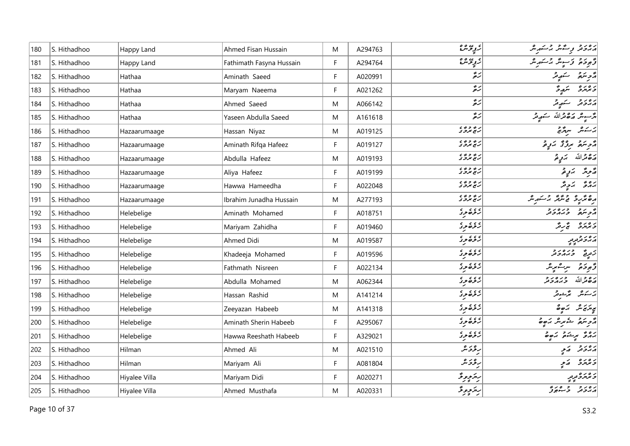| 180 | S. Hithadhoo | Happy Land    | Ahmed Fisan Hussain      | M           | A294763 | ئەرپۇشۇ                               | أيهدد وبستكر برسكريمر                           |
|-----|--------------|---------------|--------------------------|-------------|---------|---------------------------------------|-------------------------------------------------|
| 181 | S. Hithadhoo | Happy Land    | Fathimath Fasyna Hussain | F           | A294764 | ء پي <sub>ە ھ</sub> ە                 | وتجوختم وسينثر بزختر يثر                        |
| 182 | S. Hithadhoo | Hathaa        | Aminath Saeed            | F           | A020991 | ریج                                   | أأترسكم التكمية                                 |
| 183 | S. Hithadhoo | Hathaa        | Maryam Naeema            | F           | A021262 | ریج                                   | دەرە شەر                                        |
| 184 | S. Hithadhoo | Hathaa        | Ahmed Saeed              | M           | A066142 | رپچ                                   | پره د چې کمو تر                                 |
| 185 | S. Hithadhoo | Hathaa        | Yaseen Abdulla Saeed     | M           | A161618 | رَةٌ                                  | أثر بدعد وكافترالله كتورير                      |
| 186 | S. Hithadhoo | Hazaarumaage  | Hassan Niyaz             | M           | A019125 | ر ۶ و ۶ ی<br>رسخ مرو ی                | بركستكس سرمزج                                   |
| 187 | S. Hithadhoo | Hazaarumaage  | Aminath Rifqa Hafeez     | F           | A019127 | ر پر و پر ی<br>تر بح بور <del>ی</del> | أأدوبتهم بروق بروفي                             |
| 188 | S. Hithadhoo | Hazaarumaage  | Abdulla Hafeez           | M           | A019193 | ر ۶ و ۶ ء<br>رسخ بور ی                | برە داللە بروپۇ                                 |
| 189 | S. Hithadhoo | Hazaarumaage  | Aliya Hafeez             | F           | A019199 | ر ۶ و ۶ ه<br>رسخ مور د                | ۇ ئورۇ ئىم ئو                                   |
| 190 | S. Hithadhoo | Hazaarumaage  | Hawwa Hameedha           | F           | A022048 | ر ۶ و ۶ ی<br>رسخ مرو ی                | رەۋ بەدىگە                                      |
| 191 | S. Hithadhoo | Hazaarumaage  | Ibrahim Junadha Hussain  | M           | A277193 | ر پر و پر ی<br>رسم مرو <sub>م</sub>   | פי כ כבי העות כ                                 |
| 192 | S. Hithadhoo | Helebelige    | Aminath Mohamed          | F           | A018751 | ه ، ، ، ،<br>روه <sub>فر</sub> د      | 21012 2124                                      |
| 193 | S. Hithadhoo | Helebelige    | Mariyam Zahidha          | F           | A019460 | ی ی ی ی<br>ترنوه نور                  | دەرە ئەرتىر                                     |
| 194 | S. Hithadhoo | Helebelige    | Ahmed Didi               | M           | A019587 | ه ، ، ، ،<br>روه <sub>فر</sub> د      | ر ە ر ج<br>مەركىرىرىر                           |
| 195 | S. Hithadhoo | Helebelige    | Khadeeja Mohamed         | F           | A019596 | ئەقەھ يوتى                            | كزمرة ورەرو                                     |
| 196 | S. Hithadhoo | Helebelige    | Fathmath Nisreen         | F           | A022134 | ه ، ، ، ،<br>روه و ،                  | قەددە سرىشمېرىش                                 |
| 197 | S. Hithadhoo | Helebelige    | Abdulla Mohamed          | M           | A062344 | ی ی ی ی<br>رنو <i>ه و</i> ی           | برە ترالله<br>و رە ر د<br>تر پروتر              |
| 198 | S. Hithadhoo | Helebelige    | Hassan Rashid            | M           | A141214 | ر د ه د د کا                          | بر کے مگر مگر شونڈ<br>پر کے مگر مگر مگر         |
| 199 | S. Hithadhoo | Helebelige    | Zeeyazan Habeeb          | M           | A141318 | ئ ئ ئ ج                               | ى مەككە ئەھ                                     |
| 200 | S. Hithadhoo | Helebelige    | Aminath Sherin Habeeb    | $\mathsf F$ | A295067 | ه ، ، ، ،<br>روه <sub>فر</sub> د      | أأوسم شهر أأوه                                  |
| 201 | S. Hithadhoo | Helebelige    | Hawwa Reeshath Habeeb    | F           | A329021 | ه ، ، ، ،<br>روه و .                  | $\frac{2}{3}$                                   |
| 202 | S. Hithadhoo | Hilman        | Ahmed Ali                | M           | A021510 | ر و د چر                              | پروژو کامچ                                      |
| 203 | S. Hithadhoo | Hilman        | Mariyam Ali              | F           | A081804 | بردد تر                               | ئەتەرى<br>ەتىر                                  |
| 204 | S. Hithadhoo | Hiyalee Villa | Mariyam Didi             | F           | A020271 | رېز د و ځه<br>  ر                     | <br>  تر چهرگ <sup>9</sup> تورمبر<br>  تر پر گر |
| 205 | S. Hithadhoo | Hiyalee Villa | Ahmed Musthafa           | M           | A020331 | ر پژوه دٌ                             | رەرد دەرد                                       |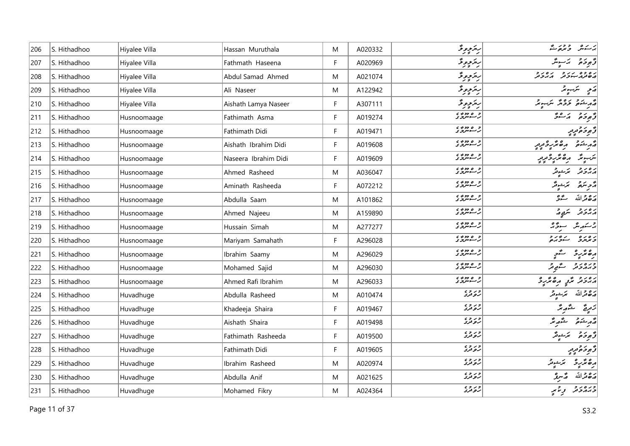| 206 | S. Hithadhoo | Hiyalee Villa | Hassan Muruthala     | M  | A020332 | ر پر ٔ یو ه ی<br>مسلم په م           | برسكس ويركوب                                |
|-----|--------------|---------------|----------------------|----|---------|--------------------------------------|---------------------------------------------|
| 207 | S. Hithadhoo | Hiyalee Villa | Fathmath Haseena     | F. | A020969 | رېز <sub>وجوم</sub> و<br>م           | ق پر دو برسونتر                             |
| 208 | S. Hithadhoo | Hiyalee Villa | Abdul Samad Ahmed    | M  | A021074 | ىرەز بورۇ<br>ئە                      | ره وه ربر و بره دو<br>مصرم سورتر مدرد       |
| 209 | S. Hithadhoo | Hiyalee Villa | Ali Naseer           | M  | A122942 | ر پر ٔ پر پی<br>ر                    | كالمج الكرسولي                              |
| 210 | S. Hithadhoo | Hiyalee Villa | Aishath Lamya Naseer | F  | A307111 | ىرەز بورۇ<br>ر                       | ה<br>האנשים בכול יתיים                      |
| 211 | S. Hithadhoo | Husnoomaage   | Fathimath Asma       | F. | A019274 | و ره دوه ،<br>ر که سرچ ی             | توجدة المائكة                               |
| 212 | S. Hithadhoo | Husnoomaage   | Fathimath Didi       | F  | A019471 | و ۱۵ دوم ،<br>ر ک                    | تر و د و در در                              |
| 213 | S. Hithadhoo | Husnoomaage   | Aishath Ibrahim Didi | F  | A019608 | و ره دوه ،<br>ر ک                    | و مشور مه و درور                            |
| 214 | S. Hithadhoo | Husnoomaage   | Naseera Ibrahim Didi | F  | A019609 | و ره دوه ،<br>ر ک                    | بترجوند أرەندىر دىرىر                       |
| 215 | S. Hithadhoo | Husnoomaage   | Ahmed Rasheed        | M  | A036047 | و ره دوه ،<br>ر ک                    | رەر تەرىپىدۇ.<br>مەركى تەش <sub>ە</sub> ر   |
| 216 | S. Hithadhoo | Husnoomaage   | Aminath Rasheeda     | F. | A072212 | و ره دوه ،<br>ر سومبر <del>و</del> و | ړ څر سرچ<br>ىمەشىرەتىر                      |
| 217 | S. Hithadhoo | Husnoomaage   | Abdulla Saam         | M  | A101862 | و ره دوه ،<br>ر ک                    | برە تراللە<br>سەۋ                           |
| 218 | S. Hithadhoo | Husnoomaage   | Ahmed Najeeu         | M  | A159890 | و ره دونو پر<br>راسه مرد بر          | رەر ئەر                                     |
| 219 | S. Hithadhoo | Husnoomaage   | Hussain Simah        | M  | A277277 | و ره دوه ،<br>ر ک                    | برسكهر شروج                                 |
| 220 | S. Hithadhoo | Husnoomaage   | Mariyam Samahath     | F  | A296028 | و ره دونو ،<br>ر سوسرچ ی             | ر بر در د<br>ر ه ر ه<br><del>د</del> بربر د |
| 221 | S. Hithadhoo | Husnoomaage   | Ibrahim Saamy        | M  | A296029 | و ره دوه ،<br>ر سوسرو د              | ەرھ ئ <sup>ۆ</sup> ر ۋ                      |
| 222 | S. Hithadhoo | Husnoomaage   | Mohamed Sajid        | M  | A296030 | و ره دوه ،<br>ر سوسرو د              | ورەر د گەرگىر                               |
| 223 | S. Hithadhoo | Husnoomaage   | Ahmed Rafi Ibrahim   | M  | A296033 | و ره دوه ،<br>ر سوسرو د              | גפנק ג'ן תסתיקב                             |
| 224 | S. Hithadhoo | Huvadhuge     | Abdulla Rasheed      | M  | A010474 | و ر و ،<br>روىرى                     | رەقراللە ئىرىدىگر                           |
| 225 | S. Hithadhoo | Huvadhuge     | Khadeeja Shaira      | F  | A019467 | و ر و ،<br>روىرى                     | لزَمرِيحَ سُتَمرتَرُ                        |
| 226 | S. Hithadhoo | Huvadhuge     | Aishath Shaira       | F  | A019498 | و ر و ،<br>رو تر د                   | ستشمير بتخر<br>پ <sub>ھرم</sub> شدھ<br>م    |
| 227 | S. Hithadhoo | Huvadhuge     | Fathimath Rasheeda   | F  | A019500 | ح ر و ۽<br>رو تو پ                   | ۇيۇڭ ئېشىڭە                                 |
| 228 | S. Hithadhoo | Huvadhuge     | Fathimath Didi       | F  | A019605 | ح ر و ۽<br>رو تو پ                   | ر<br>ترج ح <sup>5</sup> حومومبر             |
| 229 | S. Hithadhoo | Huvadhuge     | Ibrahim Rasheed      | M  | A020974 | و ر و ،<br>روترد                     | ەر ھەترىر <sup>ە</sup><br>ىمەھىر            |
| 230 | S. Hithadhoo | Huvadhuge     | Abdulla Anif         | M  | A021625 | و ر و ،<br>رو تر <sub>ک</sub>        | مَصْعَراللّه<br>ە ئەسرى                     |
| 231 | S. Hithadhoo | Huvadhuge     | Mohamed Fikry        | M  | A024364 | و ر و ،<br>روىرى                     | ورورو وتمير                                 |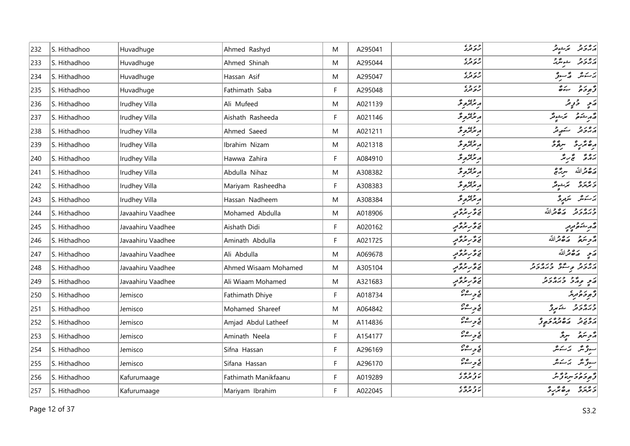| 232 | S. Hithadhoo | Huvadhuge         | Ahmed Rashyd         | M  | A295041 | و ر و ،<br>رو تر د                              | رەرو كەنبەتر                                                                                                                                                                      |
|-----|--------------|-------------------|----------------------|----|---------|-------------------------------------------------|-----------------------------------------------------------------------------------------------------------------------------------------------------------------------------------|
| 233 | S. Hithadhoo | Huvadhuge         | Ahmed Shinah         | M  | A295044 | و ر و ،<br>روىرى                                | ىرەر ئ <sub>ەس</sub> ترىر<br>مەرىر ئىسترىر                                                                                                                                        |
| 234 | S. Hithadhoo | Huvadhuge         | Hassan Asif          | M  | A295047 | ح پر و ۽<br>شر <i>ي</i> تعري                    | برَ سَدَسْ پُر سورٌ                                                                                                                                                               |
| 235 | S. Hithadhoo | Huvadhuge         | Fathimath Saba       | F  | A295048 | و ر و ،<br>روتر <b>ی</b>                        | $\stackrel{\scriptscriptstyle\circ}{\scriptscriptstyle\circ}\stackrel{\scriptscriptstyle\circ}{\scriptscriptstyle\cdot\cdot\phantom{}_{\scriptscriptstyle\circ}}$<br>و مرد د<br>د |
| 236 | S. Hithadhoo | Irudhey Villa     | Ali Mufeed           | Μ  | A021139 | وبرتزء تخر                                      | ړې د وړه.<br>د س                                                                                                                                                                  |
| 237 | S. Hithadhoo | Irudhey Villa     | Aishath Rasheeda     | F  | A021146 | وبرقرو څر                                       | و<br>وگرڪو گرڪونگر                                                                                                                                                                |
| 238 | S. Hithadhoo | Irudhey Villa     | Ahmed Saeed          | M  | A021211 | وبرقروقر                                        | رەر ئەر                                                                                                                                                                           |
| 239 | S. Hithadhoo | Irudhey Villa     | Ibrahim Nizam        | M  | A021318 | ە ئەقىزىرىگە                                    | ستقرح<br>ەرھەترىر <sup>ى</sup>                                                                                                                                                    |
| 240 | S. Hithadhoo | Irudhey Villa     | Hawwa Zahira         | F. | A084910 | ە بىرتىرە ئۇ                                    | ېچ سر پټر<br>م<br>ر ہ ء<br>براد بح                                                                                                                                                |
| 241 | S. Hithadhoo | Irudhey Villa     | Abdulla Nihaz        | M  | A308382 | ە بىرتىرى ئۇ                                    | ەھىراللە<br>سرچي                                                                                                                                                                  |
| 242 | S. Hithadhoo | Irudhey Villa     | Mariyam Rasheedha    | F. | A308383 | مر برنگرمریخه                                   | ر ه ر ه<br><del>ر</del> بربرگ<br>ىمەھىقر                                                                                                                                          |
| 243 | S. Hithadhoo | Irudhey Villa     | Hassan Nadheem       | Μ  | A308384 | ە بەتىرە ئۇ                                     | ىزىكىش بىزىرقى                                                                                                                                                                    |
| 244 | S. Hithadhoo | Javaahiru Vaadhee | Mohamed Abdulla      | M  | A018906 | ر پر بر پر پی میں<br>نے عرب سرعر میں            | وره رو ده دالله                                                                                                                                                                   |
| 245 | S. Hithadhoo | Javaahiru Vaadhee | Aishath Didi         | F  | A020162 | <br>  نے قر <sup>م</sup> ریمرقر می <sub>ر</sub> | پژ <sub>مر</sub> ىشەھ <sup>3</sup> ىرىر<br>                                                                                                                                       |
| 246 | S. Hithadhoo | Javaahiru Vaadhee | Aminath Abdulla      | F  | A021725 | ر و برگرور<br>فرکر برگرور                       | أزمر المستحدث الله                                                                                                                                                                |
| 247 | S. Hithadhoo | Javaahiru Vaadhee | Ali Abdulla          | M  | A069678 | ر پر پر پی میں<br>نے پر سرچ میں                 | أقه قائد الله                                                                                                                                                                     |
| 248 | S. Hithadhoo | Javaahiru Vaadhee | Ahmed Wisaam Mohamed | M  | A305104 | ر پر بر پر پی میں<br>نے عرب سرعر میں            | נסגב <sub>ק</sub> שיב במהבת<br>גמבת קיייב במהבת                                                                                                                                   |
| 249 | S. Hithadhoo | Javaahiru Vaadhee | Ali Wiaam Mohamed    | Μ  | A321683 | ر پر پر پی میں<br>نے پر سرچ میں                 | ג׳בְ פְהל כְמִתְכִע                                                                                                                                                               |
| 250 | S. Hithadhoo | Jemisco           | Fathimath Dhiye      | F  | A018734 | $\overline{\mathcal{C}_{\mathcal{P}}$           | و گه <sub>ج</sub> چه تو تر پر<br>م                                                                                                                                                |
| 251 | S. Hithadhoo | Jemisco           | Mohamed Shareef      | M  | A064842 | قمحة حيثة الم                                   | ورەرو شەرو                                                                                                                                                                        |
| 252 | S. Hithadhoo | Jemisco           | Amjad Abdul Latheef  | M  | A114836 | ء<br> غ حر س <sup>مور</sup>                     | קסק - קספסק.<br>הכבית השיתה ביתי                                                                                                                                                  |
| 253 | S. Hithadhoo | Jemisco           | Aminath Neela        | F  | A154177 | ه د مردم<br>فرم د مردم                          | أأرد منتمر أأمرقه                                                                                                                                                                 |
| 254 | S. Hithadhoo | Jemisco           | Sifna Hassan         | F. | A296169 | لفحو سقط                                        | سورىگە كەسكىل                                                                                                                                                                     |
| 255 | S. Hithadhoo | Jemisco           | Sifana Hassan        | F. | A296170 | اء و مشر<br> ط                                  | سودىگە ئەسكىل                                                                                                                                                                     |
| 256 | S. Hithadhoo | Kafurumaage       | Fathimath Manikfaanu | F  | A019289 | ر د د ه ،<br>مال برو د                          | ۇ ب <sub>و</sub> جەنجە سرىدۇ تىر                                                                                                                                                  |
| 257 | S. Hithadhoo | Kafurumaage       | Mariyam Ibrahim      | F  | A022045 | ر د د » ،<br>ما تو برو د                        | גם גם ביתים                                                                                                                                                                       |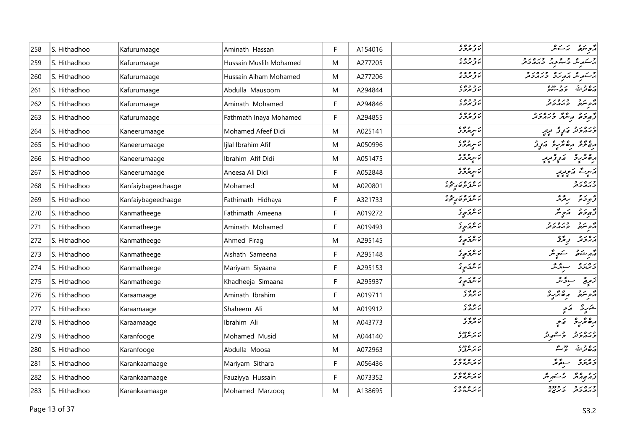| 258 | S. Hithadhoo | Kafurumaage        | Aminath Hassan         | F  | A154016 | ر د د د ،<br>مال مرو د                 | ۇرىتى ئەسكىر                                |
|-----|--------------|--------------------|------------------------|----|---------|----------------------------------------|---------------------------------------------|
| 259 | S. Hithadhoo | Kafurumaage        | Hussain Muslih Mohamed | M  | A277205 | ر د د » ،<br>ما تو برتر د              | وكرير ومبلور وره دو                         |
| 260 | S. Hithadhoo | Kafurumaage        | Hussain Aiham Mohamed  | M  | A277206 | پر و و و ،<br>  تا تو تر پر ی          | ج کے مگر مگر کر دی کے دور د                 |
| 261 | S. Hithadhoo | Kafurumaage        | Abdulla Mausoom        | M  | A294844 | ر د د د ،<br>ما تو برو د               | رە قراللە جەم دە                            |
| 262 | S. Hithadhoo | Kafurumaage        | Aminath Mohamed        | F  | A294846 | ر د د د ،<br>مال مرو د                 | و دره دره در                                |
| 263 | S. Hithadhoo | Kafurumaage        | Fathmath Inaya Mohamed | F. | A294855 | پر و و و ،<br>  تا تو بودگار           | و دو په دره دو                              |
| 264 | S. Hithadhoo | Kaneerumaage       | Mohamed Afeef Didi     | M  | A025141 | ر سرچري<br>پاسپېټرنۍ                   | وبروبرو كرورو المحير                        |
| 265 | S. Hithadhoo | Kaneerumaage       | Ijlal Ibrahim Afif     | M  | A050996 | ر سرچري<br>موسرچري                     | دي گرو ده گرو کرد                           |
| 266 | S. Hithadhoo | Kaneerumaage       | Ibrahim Afif Didi      | M  | A051475 | ر سرچر <sup>ي</sup>                    | رە ئرىر ھۆۋىرىر                             |
| 267 | S. Hithadhoo | Kaneerumaage       | Aneesa Ali Didi        | F  | A052848 | ر سرچوي<br>ماسپېرېږي                   | أرسرت كروورور                               |
| 268 | S. Hithadhoo | Kanfaiybageechaage | Mohamed                | M  | A020801 | ر ه ر ه ر<br>با سروه تو گرد            | ور ە ر د<br><i>د بە</i> پەر                 |
| 269 | S. Hithadhoo | Kanfaiybageechaage | Fathimath Hidhaya      | F  | A321733 | ر ه ره ر په په<br>مشروه توگور          | رەگەگە<br>وٌمودَمُ                          |
| 270 | S. Hithadhoo | Kanmatheege        | Fathimath Ameena       | F  | A019272 | بز چر <sub>کتم</sub> پر                | وٌ وَدَهُ دَدِيدٌ                           |
| 271 | S. Hithadhoo | Kanmatheege        | Aminath Mohamed        | F. | A019493 | ئەنگە ئەمو ئە                          | י הים בגם בי                                |
| 272 | S. Hithadhoo | Kanmatheege        | Ahmed Firag            | M  | A295145 | ر هر د ءِ<br>پاڪرچ و                   | أرور ويزة                                   |
| 273 | S. Hithadhoo | Kanmatheege        | Aishath Sameena        | F  | A295148 | ره ره م<br>  ما مرچه مح                | ۇرمۇق سۇچىگ                                 |
| 274 | S. Hithadhoo | Kanmatheege        | Mariyam Siyaana        | F  | A295153 | بزېږې ته د                             | سودين<br>ر ه ر ه<br><del>و</del> بربرو      |
| 275 | S. Hithadhoo | Kanmatheege        | Khadheeja Simaana      | F. | A295937 | ئەنگە ئەمو ئە                          | سىدۇبتر<br>رکورنج<br>س                      |
| 276 | S. Hithadhoo | Karaamaage         | Aminath Ibrahim        | F. | A019711 | ر ۶۵۶ د<br>ما بورسی                    | أروسكو<br>مەھرىر                            |
| 277 | S. Hithadhoo | Karaamaage         | Shaheem Ali            | M  | A019912 | ر ۶۵۶<br>ما بورسی                      | ے کر دی<br>سنگھاڑ<br>ەكىسى                  |
| 278 | S. Hithadhoo | Karaamaage         | Ibrahim Ali            | M  | A043773 | ر ۶ ۵ م<br>ما بورسی                    | ە ھەترىر <sup>ە</sup>                       |
| 279 | S. Hithadhoo | Karanfooge         | Mohamed Musid          | M  | A044140 | ر ر د دد ه<br>ما نیرسربی ی             | כנסג כפיקה                                  |
| 280 | S. Hithadhoo | Karanfooge         | Abdulla Moosa          | M  | A072963 | ر ر د د د د<br>را بر مرو د             | ەھىراللە<br>دومعه                           |
| 281 | S. Hithadhoo | Karankaamaage      | Mariyam Sithara        | F  | A056436 | ر ر ه د د ،<br>ما برس د د              | سەھ ئىر<br>ر ه بر ه<br>تر <del>ب</del> ر بر |
| 282 | S. Hithadhoo | Karankaamaage      | Fauziyya Hussain       | F. | A073352 | ر ر ه د د »<br>ما بر سرد د د           | גב כל הביתית                                |
| 283 | S. Hithadhoo | Karankaamaage      | Mohamed Marzooq        | M  | A138695 | ر ر ه ه ه »<br>ر بر سرد <del>و</del> ی | כנסנים נפחד.<br>כנמכת כינים                 |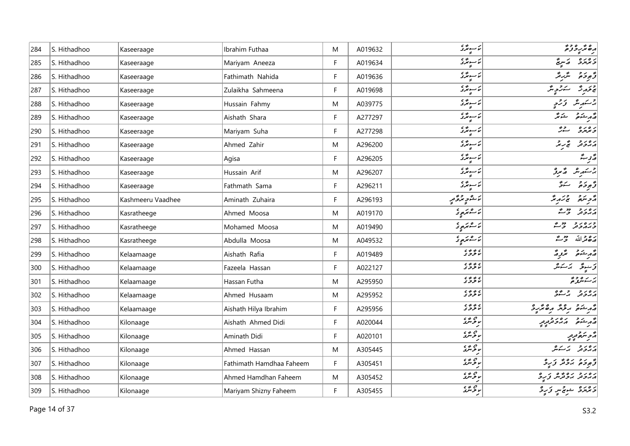| 284 | S. Hithadhoo | Kaseeraage        | Ibrahim Futhaa           | M           | A019632 | ئە سەيىرى<br>س          | دە ئەردىۋە                                                                                                                                                                                                                                                                                                                                                                                                                                    |
|-----|--------------|-------------------|--------------------------|-------------|---------|-------------------------|-----------------------------------------------------------------------------------------------------------------------------------------------------------------------------------------------------------------------------------------------------------------------------------------------------------------------------------------------------------------------------------------------------------------------------------------------|
| 285 | S. Hithadhoo | Kaseeraage        | Mariyam Aneeza           | $\mathsf F$ | A019634 | ر<br>ما سېږېدنه         | ر ه ر ه<br><del>و</del> بربرو<br>ە ئەسرىتى                                                                                                                                                                                                                                                                                                                                                                                                    |
| 286 | S. Hithadhoo | Kaseeraage        | Fathimath Nahida         | F           | A019636 | ئەسىرىمى<br>            | ىتزىرىتر<br>ۇ بوخ م                                                                                                                                                                                                                                                                                                                                                                                                                           |
| 287 | S. Hithadhoo | Kaseeraage        | Zulaikha Sahmeena        | F           | A019698 | ئەسىرىمى<br>            | سەرىيە پىر<br>چ ئۇ <sub>م</sub> رتَّ                                                                                                                                                                                                                                                                                                                                                                                                          |
| 288 | S. Hithadhoo | Kaseeraage        | Hussain Fahmy            | M           | A039775 | ئەسىيەتىرى<br> -        | برسكريثر أورحي                                                                                                                                                                                                                                                                                                                                                                                                                                |
| 289 | S. Hithadhoo | Kaseeraage        | Aishath Shara            | F           | A277297 | ر<br>ئاسىيىتى ئە        | $\begin{array}{cc} \overbrace{\hspace{15em}}^{\hspace{15em} 5} & \overbrace{\hspace{15em}}^{\hspace{15em} 5} & \overbrace{\hspace{15em}}^{\hspace{15em} 5} & \overbrace{\hspace{15em}}^{\hspace{15em} 5} & \overbrace{\hspace{15em}}^{\hspace{15em} 5} & \overbrace{\hspace{15em}}^{\hspace{15em} 5} & \overbrace{\hspace{15em}}^{\hspace{15em} 5} & \overbrace{\hspace{15em}}^{\hspace{15em} 5} & \overbrace{\hspace{15em}}^{\hspace{15em} $ |
| 290 | S. Hithadhoo | Kaseeraage        | Mariyam Suha             | F           | A277298 | ىز سەيترى<br>ئ          | دەرە دە                                                                                                                                                                                                                                                                                                                                                                                                                                       |
| 291 | S. Hithadhoo | Kaseeraage        | Ahmed Zahir              | M           | A296200 | ئەسىپەتى<br>س           | بروئر تر<br>پچ ریز<br>پخ                                                                                                                                                                                                                                                                                                                                                                                                                      |
| 292 | S. Hithadhoo | Kaseeraage        | Agisa                    | F           | A296205 | ئە سەيىرى<br>ئ          | وتتوبته                                                                                                                                                                                                                                                                                                                                                                                                                                       |
| 293 | S. Hithadhoo | Kaseeraage        | Hussain Arif             | M           | A296207 | ئەسىيەتىرى<br> -        | برسكريش المجرو                                                                                                                                                                                                                                                                                                                                                                                                                                |
| 294 | S. Hithadhoo | Kaseeraage        | Fathmath Sama            | F           | A296211 | ئەسىيەتىرى<br>          | سەبىيە<br>ۇ بو ئەد                                                                                                                                                                                                                                                                                                                                                                                                                            |
| 295 | S. Hithadhoo | Kashmeeru Vaadhee | Aminath Zuhaira          | $\mathsf F$ | A296193 | ئەشۋىر ئەر              | ىن ئەرىبە<br>سى<br>أروسرة                                                                                                                                                                                                                                                                                                                                                                                                                     |
| 296 | S. Hithadhoo | Kasratheege       | Ahmed Moosa              | M           | A019170 | برع بريد                | رەر دىر                                                                                                                                                                                                                                                                                                                                                                                                                                       |
| 297 | S. Hithadhoo | Kasratheege       | Mohamed Moosa            | M           | A019490 | ئەسىمبرىي               | و ر ه ر د<br>تر پر ژ تر<br>دين مشر                                                                                                                                                                                                                                                                                                                                                                                                            |
| 298 | S. Hithadhoo | Kasratheege       | Abdulla Moosa            | M           | A049532 | ىز شەنئە <sub>م</sub> ئ | مەھىراللە<br>درمی                                                                                                                                                                                                                                                                                                                                                                                                                             |
| 299 | S. Hithadhoo | Kelaamaage        | Aishath Rafia            | F           | A019489 | ى ئۇ ئەي<br>مەمۇرى      | مەرخىق ئۇرۇ                                                                                                                                                                                                                                                                                                                                                                                                                                   |
| 300 | S. Hithadhoo | Kelaamaage        | Fazeela Hassan           | F           | A022127 | ، بۇ ئەي<br>مەمۇرى      | تى ئەن ئەسكەش                                                                                                                                                                                                                                                                                                                                                                                                                                 |
| 301 | S. Hithadhoo | Kelaamaage        | Hassan Futha             | M           | A295950 | ء پیچ ۽<br> ما مگر پی   | بر پە ھەمۋىتى                                                                                                                                                                                                                                                                                                                                                                                                                                 |
| 302 | S. Hithadhoo | Kelaamaage        | Ahmed Husaam             | M           | A295952 | ء پیچ ۽<br> ما مگر پی   | رەرو ويو                                                                                                                                                                                                                                                                                                                                                                                                                                      |
| 303 | S. Hithadhoo | Kelaamaage        | Aishath Hilya Ibrahim    | $\mathsf F$ | A295956 | ء پیچ ۽<br> ما مگرچ ي   | התשים גבת תסתיב                                                                                                                                                                                                                                                                                                                                                                                                                               |
| 304 | S. Hithadhoo | Kilonaage         | Aishath Ahmed Didi       | F           | A020044 | برعو يثرى               | و<br>درخوم دروروبر                                                                                                                                                                                                                                                                                                                                                                                                                            |
| 305 | S. Hithadhoo | Kilonaage         | Aminath Didi             | F           | A020101 | بردميني                 | و<br>مەر سەھمەت                                                                                                                                                                                                                                                                                                                                                                                                                               |
| 306 | S. Hithadhoo | Kilonaage         | Ahmed Hassan             | M           | A305445 | بېرغىيى                 | رەرد ئەسكىر                                                                                                                                                                                                                                                                                                                                                                                                                                   |
| 307 | S. Hithadhoo | Kilonaage         | Fathimath Hamdhaa Faheem | F.          | A305451 | بېرغىيى                 | و ده روند زره                                                                                                                                                                                                                                                                                                                                                                                                                                 |
| 308 | S. Hithadhoo | Kilonaage         | Ahmed Hamdhan Faheem     | M           | A305452 | برعویمهٔ                | ره رو ره ده و ره<br>دروند برونرس و ره                                                                                                                                                                                                                                                                                                                                                                                                         |
| 309 | S. Hithadhoo | Kilonaage         | Mariyam Shizny Faheem    | F           | A305455 | <br>  بوڅېنگو           | ويروو حدثم سي ورو                                                                                                                                                                                                                                                                                                                                                                                                                             |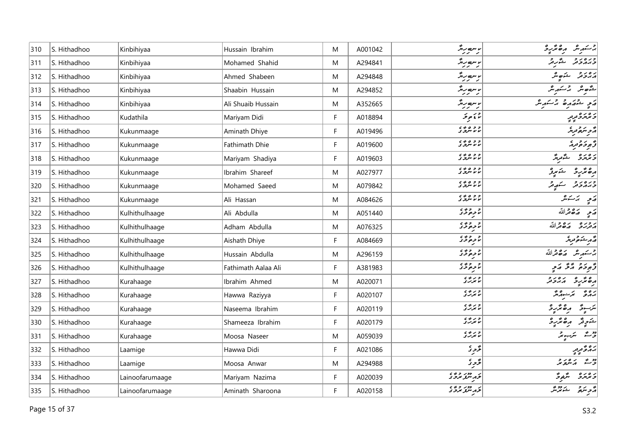| 310 | S. Hithadhoo | Kinbihiyaa      | Hussain Ibrahim     | M         | A001042 | ا را سرچار پر<br><u>کر است ا</u>      | بر سکر شهر مره مخرج                        |
|-----|--------------|-----------------|---------------------|-----------|---------|---------------------------------------|--------------------------------------------|
| 311 | S. Hithadhoo | Kinbihiyaa      | Mohamed Shahid      | M         | A294841 | ا پر سرچ ريژ<br><u>گر گر ر</u>        | ورەرو شەرق                                 |
| 312 | S. Hithadhoo | Kinbihiyaa      | Ahmed Shabeen       | M         | A294848 | ر سرچ ر پژ<br>ر                       | رەرو خوم م                                 |
| 313 | S. Hithadhoo | Kinbihiyaa      | Shaabin Hussain     | M         | A294852 | ا را سعد رو<br>مستقبله                | شوه شركه محر مثر                           |
| 314 | S. Hithadhoo | Kinbihiyaa      | Ali Shuaib Hussain  | M         | A352665 | ا را سر پیر<br>مسلم است.<br>مسلم است. | مَعٍ څمکمره چمکمره                         |
| 315 | S. Hithadhoo | Kudathila       | Mariyam Didi        | F         | A018894 | لاءموخه                               | <br>  تر چهرد ورور<br>  تر پر ژ            |
| 316 | S. Hithadhoo | Kukunmaage      | Aminath Dhiye       | F         | A019496 | د د ه و و و<br>ما ما مرد د            | أأحر سكوفروكر                              |
| 317 | S. Hithadhoo | Kukunmaage      | Fathimath Dhie      | F         | A019600 | د د ه و و ،<br>ما ما مرچ ي            | ۇ بەر ئەرى<br>قىمۇمەر                      |
| 318 | S. Hithadhoo | Kukunmaage      | Mariyam Shadiya     | F         | A019603 | و و ه پو ،<br>ما ما مرچ <sub>ک</sub>  | دەرە شەر                                   |
| 319 | S. Hithadhoo | Kukunmaage      | Ibrahim Shareef     | ${\sf M}$ | A027977 | د د ه و و ،<br>ما ما مرد د            | ە ھەترىرى<br>برھەترىرى<br>ڪ مور و<br>سنڌ س |
| 320 | S. Hithadhoo | Kukunmaage      | Mohamed Saeed       | M         | A079842 | د د ه و و ،<br>ما ما مرو د            | ورەرو كەر                                  |
| 321 | S. Hithadhoo | Kukunmaage      | Ali Hassan          | M         | A084626 | و و ه و و ،<br>ما ما مرچ ي            | أويمي أيركبش                               |
| 322 | S. Hithadhoo | Kulhithulhaage  | Ali Abdulla         | M         | A051440 | د په دوه ،<br>ما موځونو               | أصَعٍ صَصْحَداللّه                         |
| 323 | S. Hithadhoo | Kulhithulhaage  | Adham Abdulla       | ${\sf M}$ | A076325 | د و و و و<br>ما موجود و               | بروره بره والله                            |
| 324 | S. Hithadhoo | Kulhithulhaage  | Aishath Dhiye       | F         | A084669 | د د د د ،<br>ما نوح نر د              | و<br>مەر شىمى تىرىر                        |
| 325 | S. Hithadhoo | Kulhithulhaage  | Hussain Abdulla     | ${\sf M}$ | A296159 | ۶ په ۶ په<br>ما نوح نو ی              | بر مسكور محدث الله                         |
| 326 | S. Hithadhoo | Kulhithulhaage  | Fathimath Aalaa Ali | F         | A381983 | د په د دي<br>مړينو توکو               | و دو وو دو                                 |
| 327 | S. Hithadhoo | Kurahaage       | Ibrahim Ahmed       | ${\sf M}$ | A020071 | ۶ پر پر پر<br>ما تیمرگری              | פיציב גיבע                                 |
| 328 | S. Hithadhoo | Kurahaage       | Hawwa Raziyya       | F         | A020107 | ۶ بر ۲۰<br>ما <del>ب</del> رگری       | $20 - 20 - 20 - 1$                         |
| 329 | S. Hithadhoo | Kurahaage       | Naseema Ibrahim     | F         | A020119 | ۶ ر و ›<br>را برگ                     |                                            |
| 330 | S. Hithadhoo | Kurahaage       | Shameeza Ibrahim    | F         | A020179 | ۶ پر پر پر<br>ما تیمرنری              | أشوية أوقتريرة                             |
| 331 | S. Hithadhoo | Kurahaage       | Moosa Naseer        | M         | A059039 | د ر و ،<br>ما بور د                   | وقت متن المراجعة<br>مراجع                  |
| 332 | S. Hithadhoo | Laamige         | Hawwa Didi          | F         | A021086 | نژ <sub>حر ک</sub>                    | <br>  پر ژگورور<br>                        |
| 333 | S. Hithadhoo | Laamige         | Moosa Anwar         | M         | A294988 | ۇ <sub>ج ئى</sub>                     | برەر د<br>دیں مشر                          |
| 334 | S. Hithadhoo | Lainoofarumaage | Mariyam Nazima      | F         | A020039 | <br>  د مرسر سرد د                    | رەرە شرك                                   |
| 335 | S. Hithadhoo | Lainoofarumaage | Aminath Sharoona    | F         | A020158 | ى پەر دەپرى<br>ئىمەسلامرى             | أأرجو المتوجب المتعارض                     |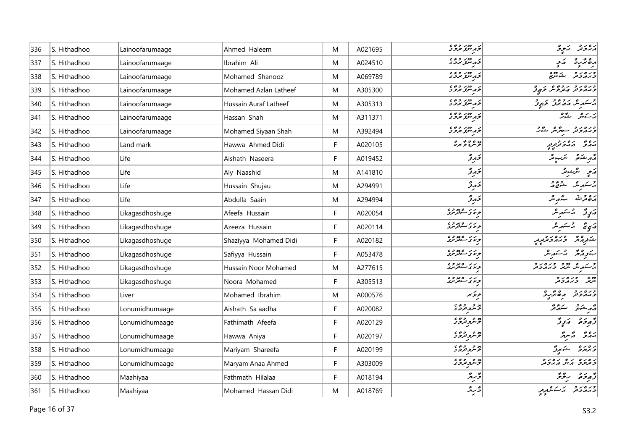| 336 | S. Hithadhoo | Lainoofarumaage | Ahmed Haleem          | M           | A021695 | ى پەر دەپرى<br>مەسىر ئىرى                       | بروبر و<br>برجرو                                                                                                                                                                                                                 |
|-----|--------------|-----------------|-----------------------|-------------|---------|-------------------------------------------------|----------------------------------------------------------------------------------------------------------------------------------------------------------------------------------------------------------------------------------|
| 337 | S. Hithadhoo | Lainoofarumaage | Ibrahim Ali           | M           | A024510 | تر دور و د ،<br>نوم سرگرمرو د                   | ەر ھەتمەر 2<br>س                                                                                                                                                                                                                 |
| 338 | S. Hithadhoo | Lainoofarumaage | Mohamed Shanooz       | M           | A069789 | ى پەيدىن دەپ                                    | وره رو دوه<br>وبرووتر شوسرچ                                                                                                                                                                                                      |
| 339 | S. Hithadhoo | Lainoofarumaage | Mohamed Azlan Latheef | M           | A305300 | ى پەيدىن دەپ                                    | ورەر د پروژه تەپرو                                                                                                                                                                                                               |
| 340 | S. Hithadhoo | Lainoofarumaage | Hussain Auraf Latheef | M           | A305313 | ى پەر دەپ<br>ئەرسى                              | بر مسكر شركة المستعمر المستجمع وتحريج وتحريج وتحريج وتحريج وتحريج وتحريج وتحريج وتحريج وتحريج المستجمات المستجما                                                                                                                 |
| 341 | S. Hithadhoo | Lainoofarumaage | Hassan Shah           | M           | A311371 | ا در دور و و و ا                                | يرك مدار وحرار                                                                                                                                                                                                                   |
| 342 | S. Hithadhoo | Lainoofarumaage | Mohamed Siyaan Shah   | M           | A392494 | تەر دور و دې<br>خەرسىگە تىرى ئ                  | ورەرو سەرھ ھەر                                                                                                                                                                                                                   |
| 343 | S. Hithadhoo | Land mark       | Hawwa Ahmed Didi      | F           | A020105 | ر، ە ە »<br>ئۇس ئەترىر                          | ره د مسر د در د در در در در در در در این در این در این در این در این در این در این در این در این در این در این<br>این در هر این در این در این در این در این در این در این در این در این در این در این در این در این در این در ای |
| 344 | S. Hithadhoo | Life            | Aishath Naseera       | F           | A019452 | ځه ی                                            |                                                                                                                                                                                                                                  |
| 345 | S. Hithadhoo | Life            | Aly Naashid           | M           | A141810 | ځهږو                                            | ر<br>مرد سرشونر                                                                                                                                                                                                                  |
| 346 | S. Hithadhoo | Life            | Hussain Shujau        | M           | A294991 | ځه ی                                            | جرسكور شروع و                                                                                                                                                                                                                    |
| 347 | S. Hithadhoo | Life            | Abdulla Saain         | M           | A294994 | ځېږ ژ                                           | أرَدَة مَرَاللَّهُ جَمْدِ مِرْ                                                                                                                                                                                                   |
| 348 | S. Hithadhoo | Likagasdhoshuge | Afeefa Hussain        | F           | A020054 | و پر پہ و د و ءِ<br>حرما <sub>کی</sub> سے فرمری | ړَږِرَ لاسکرېنگر                                                                                                                                                                                                                 |
| 349 | S. Hithadhoo | Likagasdhoshuge | Azeeza Hussain        | F           | A020114 | ر ر صور د<br>مورد کا سافرمزی                    | ەي ئەسىر                                                                                                                                                                                                                         |
| 350 | S. Hithadhoo | Likagasdhoshuge | Shaziyya Mohamed Didi | F           | A020182 | و پر پہ و د و ء<br>حرما <sub>کی</sub> مسلوموری  | شكوره به وره رو ويرد                                                                                                                                                                                                             |
| 351 | S. Hithadhoo | Likagasdhoshuge | Safiyya Hussain       | F           | A053478 | و د د صعود و ه<br>و د کار سکوترنوی              | سكوماه المركبات                                                                                                                                                                                                                  |
| 352 | S. Hithadhoo | Likagasdhoshuge | Hussain Noor Mohamed  | M           | A277615 | ر ر ر ه پر و ،<br>و د کار سافر مرک              | و د ه ه دو وره دو<br>پرسوړس سرچر وبرمرونو                                                                                                                                                                                        |
| 353 | S. Hithadhoo | Likagasdhoshuge | Noora Mohamed         | F           | A305513 | د رکھ رے پورے<br>مورد کا مسلولوں                | دد وره د و<br>سرگر ورورونو                                                                                                                                                                                                       |
| 354 | S. Hithadhoo | Liver           | Mohamed Ibrahim       | M           | A000576 | ووً بر                                          |                                                                                                                                                                                                                                  |
| 355 | S. Hithadhoo | Lonumidhumaage  | Aishath Sa aadha      | F           | A020082 | پر تر <sub>حر</sub> تر پر د                     | سەھەتىر<br>پ <sup>ر</sup> در شوځ                                                                                                                                                                                                 |
| 356 | S. Hithadhoo | Lonumidhumaage  | Fathimath Afeefa      | $\mathsf F$ | A020129 | بو پر پر پر پر پر<br>محمد پر پر پر              | ر و د د د د د                                                                                                                                                                                                                    |
| 357 | S. Hithadhoo | Lonumidhumaage  | Hawwa Aniya           | F           | A020197 | پر تر <sub>حر</sub> پر پ                        | برەپچ<br>پر سرچر                                                                                                                                                                                                                 |
| 358 | S. Hithadhoo | Lonumidhumaage  | Mariyam Shareefa      | F           | A020199 | بو چ <sub>رچرم</sub> ۍ<br>مر <i>سرچ</i> رم      | ر ه ر ه<br>د بربرگ<br>ے کھیوٹر                                                                                                                                                                                                   |
| 359 | S. Hithadhoo | Lonumidhumaage  | Maryam Anaa Ahmed     | $\mathsf F$ | A303009 | بو چ <sub>رچرم</sub> ی<br>محسر پرچر             | ג ם גם גם גם גב<br>בינו <i>ת ב</i> "הגבת                                                                                                                                                                                         |
| 360 | S. Hithadhoo | Maahiyaa        | Fathmath Hilalaa      | F           | A018194 | و گر پر<br>ر                                    | ۇ <sub>ب</sub> ودۇ بەۋۋ                                                                                                                                                                                                          |
| 361 | S. Hithadhoo | Maahiyaa        | Mohamed Hassan Didi   | M           | A018769 | د سر پر<br>ر                                    | ورەرو كەككەبولو                                                                                                                                                                                                                  |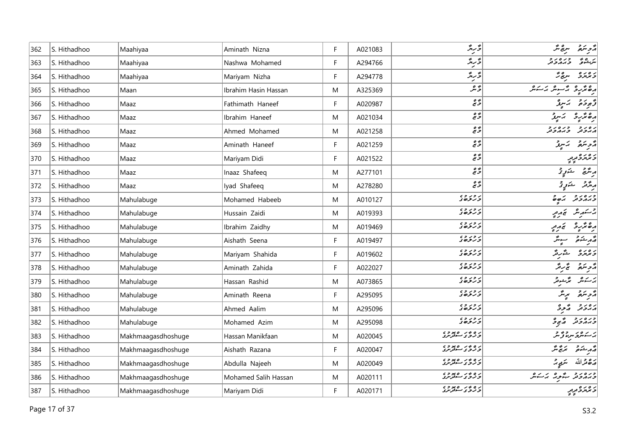| 362 | S. Hithadhoo | Maahiyaa           | Aminath Nizna        | F  | A021083 | د بر<br>م                                                        | سرچ سگر<br>أرمر وسره                                       |
|-----|--------------|--------------------|----------------------|----|---------|------------------------------------------------------------------|------------------------------------------------------------|
| 363 | S. Hithadhoo | Maahiyaa           | Nashwa Mohamed       | F. | A294766 | د سر پر<br>ر                                                     | سرشوش<br>و ر ه ر و<br><i>و پر</i> پر تر                    |
| 364 | S. Hithadhoo | Maahiyaa           | Mariyam Nizha        | F. | A294778 | و ٌر پر                                                          | ر ه ر ه<br><del>د</del> بربرگ<br>سرچ گ                     |
| 365 | S. Hithadhoo | Maan               | Ibrahim Hasin Hassan | M  | A325369 | ۇ بىر                                                            | چە سەھرىرىكىسى<br>ە ھەترىرى<br>برھ تىرىرى                  |
| 366 | S. Hithadhoo | Maaz               | Fathimath Haneef     | F  | A020987 | رچم                                                              | ۇۋۇۋە ئەبېر                                                |
| 367 | S. Hithadhoo | Maaz               | Ibrahim Haneef       | M  | A021034 | $\overset{o}{\scriptstyle\sigma}\overset{o}{\scriptstyle\sigma}$ | دە ئۆرۈ<br>برسوقر                                          |
| 368 | S. Hithadhoo | Maaz               | Ahmed Mohamed        | M  | A021258 | ر<br>ژی                                                          | بر 2 پر 13<br>مربر <del>5</del> تر<br>و رە ر د<br>تر پروتر |
| 369 | S. Hithadhoo | Maaz               | Aminath Haneef       | F  | A021259 | رچ                                                               | أأروبتهم أيسر                                              |
| 370 | S. Hithadhoo | Maaz               | Mariyam Didi         | F  | A021522 | رچ                                                               | <br>  تر چربر 3 در در                                      |
| 371 | S. Hithadhoo | Maaz               | Inaaz Shafeeq        | M  | A277101 | رچ                                                               | وبترجح<br>ے کو تو <sup>3</sup>                             |
| 372 | S. Hithadhoo | Maaz               | lyad Shafeeq         | M  | A278280 | رچ                                                               | أرور المستورة                                              |
| 373 | S. Hithadhoo | Mahulabuge         | Mohamed Habeeb       | M  | A010127 | ر و ر و ،<br>تر تر ن                                             | כנסנכ גם                                                   |
| 374 | S. Hithadhoo | Mahulabuge         | Hussain Zaidi        | M  | A019393 | ر ور و ،<br>تر تر <del>ه</del> د                                 | ير سكور من المحامد من                                      |
| 375 | S. Hithadhoo | Mahulabuge         | Ibrahim Zaidhy       | M  | A019469 | ر ور و ،<br>تر تر <del>ه</del> د                                 | وەترىر تەرىر                                               |
| 376 | S. Hithadhoo | Mahulabuge         | Aishath Seena        | F  | A019497 | ر ور و ،<br>تر تر <del>ه</del> د                                 | ا پر مرکز دیگر<br>اور مرکز میکن<br>سەمىگر<br>=             |
| 377 | S. Hithadhoo | Mahulabuge         | Mariyam Shahida      | F. | A019602 | ر ور و ،<br>تر رفون                                              | ر ه ر ه<br><del>د</del> بربرو<br>ستەرىتر                   |
| 378 | S. Hithadhoo | Mahulabuge         | Aminath Zahida       | F. | A022027 | ر ور و ،<br>تر تر <del>ه</del> د                                 | ىتى ر تىر<br>أرمز                                          |
| 379 | S. Hithadhoo | Mahulabuge         | Hassan Rashid        | M  | A073865 | ر ور و ،<br>تر تر <del>ی</del> ن د                               | ئەسەئى <sup>س</sup><br>یجرشہ تر<br>مرک                     |
| 380 | S. Hithadhoo | Mahulabuge         | Aminath Reena        | F. | A295095 | ر و ر و ،<br>تر تر ن                                             | أرمز تمر<br>ىرىتر                                          |
| 381 | S. Hithadhoo | Mahulabuge         | Ahmed Aalim          | M  | A295096 | ر و ر و ،<br>تر رخان                                             | رژوژ<br>ر ە ر د<br>م.ر <del>د</del> تر                     |
| 382 | S. Hithadhoo | Mahulabuge         | Mohamed Azim         | M  | A295098 | ر ور و ،<br>تر تر <del>ی</del> ن د                               | כנסנב הב                                                   |
| 383 | S. Hithadhoo | Makhmaagasdhoshuge | Hassan Manikfaan     | M  | A020045 | ر ہ بر ر صوبے د<br>تر ئرگر کا سکور مر <sub>ک</sub>               | ئەسەمىرى سرىدۇ ئىر                                         |
| 384 | S. Hithadhoo | Makhmaagasdhoshuge | Aishath Razana       | F  | A020047 | ر ہ پر ر ہے و ،<br>تر ئرن کا سکوس                                | أقهر شدة والمحمدة مكر                                      |
| 385 | S. Hithadhoo | Makhmaagasdhoshuge | Abdulla Najeeh       | M  | A020049 | ر ہ بر ر ہے و ،<br>تر ئرن کا سکور دی                             | أرة قرالله تتزيير                                          |
| 386 | S. Hithadhoo | Makhmaagasdhoshuge | Mohamed Salih Hassan | M  | A020111 | ر ه و ر ه پر و ،<br>تر نر د که سوتر دی                           | ورەرو بەرە ئەسەر                                           |
| 387 | S. Hithadhoo | Makhmaagasdhoshuge | Mariyam Didi         | F  | A020171 | ر ٥ ۶ ر ٥ پر ٥ و ٢<br>تر تر تر کوتر تر و                         | ر - ه بر ه<br>  تر بر بر کرد پر                            |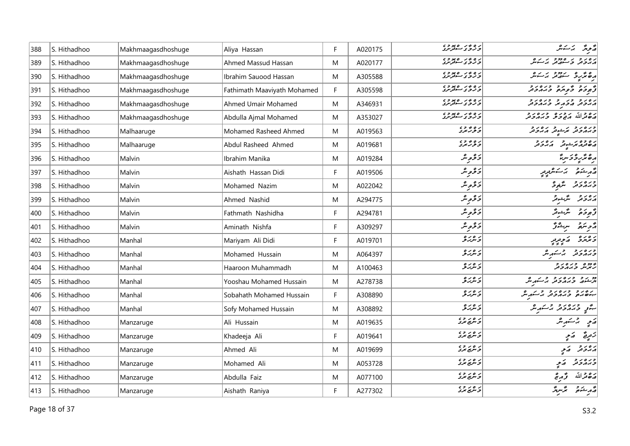| 388 | S. Hithadhoo | Makhmaagasdhoshuge | Aliya Hassan                | F         | A020175 | ر ہ پر ر صد و ،<br>تر ئر تر کا سکور دی     | ړُونَز پرَڪس                                                     |
|-----|--------------|--------------------|-----------------------------|-----------|---------|--------------------------------------------|------------------------------------------------------------------|
| 389 | S. Hithadhoo | Makhmaagasdhoshuge | Ahmed Massud Hassan         | M         | A020177 | ر ہ بر ر ہے و ،<br>تر ئرن کے سنگرمری       |                                                                  |
| 390 | S. Hithadhoo | Makhmaagasdhoshuge | Ibrahim Sauood Hassan       | M         | A305588 | ر ہ بر ر ہے و ،<br>تر ئرن کے سنگرمری       | مصر دور در ده                                                    |
| 391 | S. Hithadhoo | Makhmaagasdhoshuge | Fathimath Maaviyath Mohamed | F         | A305598 | ر ہ پر ر صوبے<br>تر تر تر سنور پری         | و د د و د د د د د د                                              |
| 392 | S. Hithadhoo | Makhmaagasdhoshuge | Ahmed Umair Mohamed         | M         | A346931 | ر ہ پر ر ہے و ،<br>تر ئرن کا سافرس         | גם גב בגב בגם גב<br>הגבת הכתיב בגהבת                             |
| 393 | S. Hithadhoo | Makhmaagasdhoshuge | Abdulla Ajmal Mohamed       | M         | A353027 | ر ہ بر ر صوبے<br>تر ئرگری سستمبرس          | رە داللە برورە دىرەرد                                            |
| 394 | S. Hithadhoo | Malhaaruge         | Mohamed Rasheed Ahmed       | M         | A019563 | ر ه و و ،<br><del>و و</del> ر بود          | ورەرو برخونر مەدونر                                              |
| 395 | S. Hithadhoo | Malhaaruge         | Abdul Rasheed Ahmed         | ${\sf M}$ | A019681 | ر ه و و ،<br><del>و و</del> ر بو <u>ی</u>  | ره وه د شوتر مدر د و<br>پره تربر تر شوتر مدر تر                  |
| 396 | S. Hithadhoo | Malvin             | Ibrahim Manika              | M         | A019284 | 5 څوړ شر                                   | ەھ ئەر 25 س <sup>رى</sup> ر                                      |
| 397 | S. Hithadhoo | Malvin             | Aishath Hassan Didi         | F         | A019506 | ئە ئۇ <sub>م</sub> بىر                     | أقهر مشعرة المركب مترفير فير                                     |
| 398 | S. Hithadhoo | Malvin             | Mohamed Nazim               | M         | A022042 | ئەقرەپەر                                   | ورەر د شھرە                                                      |
| 399 | S. Hithadhoo | Malvin             | Ahmed Nashid                | M         | A294775 | ئەقرەپىر                                   | رەرد شەر<br>مەردىر شەر                                           |
| 400 | S. Hithadhoo | Malvin             | Fathmath Nashidha           | F         | A294781 | ئەقرىرىگە                                  | و مر د<br>اقرامو خانو<br>سُرَشدترَ                               |
| 401 | S. Hithadhoo | Malvin             | Aminath Nishfa              | F         | A309297 | 5 ۋە بىر                                   | ۇ ئەسىرە<br>سرىشىرگر                                             |
| 402 | S. Hithadhoo | Manhal             | Mariyam Ali Didi            | F         | A019701 | ر ەر ە                                     | ر ه ر ه<br><del>ر</del> بربرگ<br>کە بولىرىد<br>ئىس <u>تىس</u> تى |
| 403 | S. Hithadhoo | Manhal             | Mohamed Hussain             | M         | A064397 | ر ەر ۋ                                     | ورەرو ئەسەر                                                      |
| 404 | S. Hithadhoo | Manhal             | Haaroon Muhammadh           | M         | A100463 | ىر 2ىرى<br><i>ج</i> ىئرىرى                 | כיחם כנסנים<br>תינויית כמהכנת                                    |
| 405 | S. Hithadhoo | Manhal             | Yooshau Mohamed Hussain     | M         | A278738 | ىر 2 مەرك                                  | מיני כנסנכ כניות                                                 |
| 406 | S. Hithadhoo | Manhal             | Sobahath Mohamed Hussain    | F         | A308890 | ىر <i>ھەر</i> بۇ                           | ر در در در در در در م                                            |
| 407 | S. Hithadhoo | Manhal             | Sofy Mohamed Hussain        | M         | A308892 | ىر 2ىر 2<br><i>ج</i> ىئرىرى                | شور ورەرو ورىمبار                                                |
| 408 | S. Hithadhoo | Manzaruge          | Ali Hussain                 | M         | A019635 | ر ۵ ر و ،<br>قرمن مرد                      | أميم بالمستمريكر                                                 |
| 409 | S. Hithadhoo | Manzaruge          | Khadeeja Ali                | F         | A019641 | ر ۵ ر و ،<br><del>د</del> سربح بو <u>د</u> | تزميرقت الأمج                                                    |
| 410 | S. Hithadhoo | Manzaruge          | Ahmed Ali                   | ${\sf M}$ | A019699 | ر ۵ ر و ،<br>قرمن مرد                      | بر ه بر و<br>م <i>ر</i> کوتر<br>ەتىر                             |
| 411 | S. Hithadhoo | Manzaruge          | Mohamed Ali                 | ${\sf M}$ | A053728 | ر ۵ ر و ،<br>قرمن مرد                      | <i>و ره د و</i><br>تر پروتر<br>برمو                              |
| 412 | S. Hithadhoo | Manzaruge          | Abdulla Faiz                | M         | A077100 | ر ۵ ر د ۷<br>تر سرچ بر <sub>ک</sub>        | ەھىراللە<br>تر مر ح                                              |
| 413 | S. Hithadhoo | Manzaruge          | Aishath Raniya              | F         | A277302 | ر ۵ ر د ۷<br><del>ر</del> سربح مرد         | مەم شىم ئىس ئى                                                   |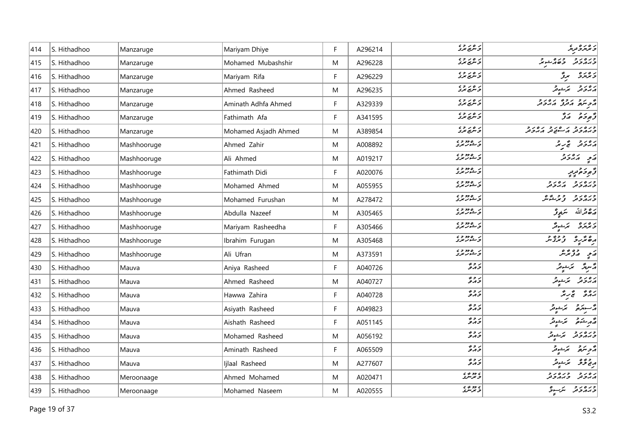| 414 | S. Hithadhoo | Manzaruge   | Mariyam Dhiye        | F  | A296214 | ر ۵ ر و ،<br>تر شریح مور                                | ر ه ر ه ر پ<br><del>د</del> بربرد دربر                     |
|-----|--------------|-------------|----------------------|----|---------|---------------------------------------------------------|------------------------------------------------------------|
| 415 | S. Hithadhoo | Manzaruge   | Mohamed Mubashshir   | M  | A296228 | ر ۵ ر و ،<br><del>د</del> سر <sub>ي</sub> خ بو <u>د</u> | دره د دره دره<br>در در د هارشوس                            |
| 416 | S. Hithadhoo | Manzaruge   | Mariyam Rifa         | F  | A296229 | ر ۵ ر و ۷<br>تر سرچ مرد                                 | تر جر ج<br>ىجزى                                            |
| 417 | S. Hithadhoo | Manzaruge   | Ahmed Rasheed        | M  | A296235 | ر ۵ ر و ،<br>قرس مرد                                    | رەرو كەجبىر                                                |
| 418 | S. Hithadhoo | Manzaruge   | Aminath Adhfa Ahmed  | F  | A329339 | ر ۵ ر د ۷<br>تر سرچ مرد                                 | أترسم المعرفي المرور                                       |
| 419 | S. Hithadhoo | Manzaruge   | Fathimath Afa        | F  | A341595 | ر ۵ ر د ۷<br><del>د</del> سر <sub>ک</sub> ر             | وً و دو گرو                                                |
| 420 | S. Hithadhoo | Manzaruge   | Mohamed Asjadh Ahmed | M  | A389854 | ر ۵ ر و ۷<br>تر سرچ مرد                                 | ورەر دېرەر دەر د<br><i>دېرم</i> وتر مەسى <i>قى مەرو</i> تر |
| 421 | S. Hithadhoo | Mashhooruge | Ahmed Zahir          | M  | A008892 | ر ده دو و د<br>تر شور بور                               | پرورته گارگر                                               |
| 422 | S. Hithadhoo | Mashhooruge | Ali Ahmed            | M  | A019217 | ر ره دد د ،<br>تر شور بری                               | ړې پره رو                                                  |
| 423 | S. Hithadhoo | Mashhooruge | Fathimath Didi       | F  | A020076 | ر ده دد و د<br>تر شور بور                               | ا ته چې ته د تور تور<br>سر                                 |
| 424 | S. Hithadhoo | Mashhooruge | Mohamed Ahmed        | M  | A055955 | ر ره دد و د<br>تر شور بور                               | כנסנכ נסנכ<br>כממכת המכת                                   |
| 425 | S. Hithadhoo | Mashhooruge | Mohamed Furushan     | M  | A278472 | ر ۱۶۵۰ و د<br>تر شور بور                                | ورەرو وويم م                                               |
| 426 | S. Hithadhoo | Mashhooruge | Abdulla Nazeef       | M  | A305465 | ر ره دد و د<br>تر شور بور                               | أرجى فرالله تترجي                                          |
| 427 | S. Hithadhoo | Mashhooruge | Mariyam Rasheedha    | F  | A305466 | ر ده دو و د<br>تر شور بور                               | رەرە يرىئونگ                                               |
| 428 | S. Hithadhoo | Mashhooruge | Ibrahim Furugan      | M  | A305468 | ر ده دو د ،<br>تر شور بور                               | رەپرىر دىيى                                                |
| 429 | S. Hithadhoo | Mashhooruge | Ali Ufran            | M  | A373591 | ر ده دو و د<br>تر شور بور                               | ە ئەھمەت ھە                                                |
| 430 | S. Hithadhoo | Mauva       | Aniya Rasheed        | F  | A040726 | ر و د<br>و د و                                          | أأسرائك المركبون                                           |
| 431 | S. Hithadhoo | Mauva       | Ahmed Rasheed        | M  | A040727 | ر و د<br>و د ه                                          | رەرە ئەجەر                                                 |
| 432 | S. Hithadhoo | Mauva       | Hawwa Zahira         | F. | A040728 | ر و د<br>و د و                                          | ىرە ئەسىر                                                  |
| 433 | S. Hithadhoo | Mauva       | Asiyath Rasheed      | F  | A049823 | ر در                                                    | وكالسور ومحمد وكمحمد                                       |
| 434 | S. Hithadhoo | Mauva       | Aishath Rasheed      | F  | A051145 | ر و د<br>و د و                                          | و<br>مەرشىقى ئىرشونى                                       |
| 435 | S. Hithadhoo | Mauva       | Mohamed Rasheed      | M  | A056192 | ر و د<br>و د و                                          | ورەرو بەيدۇ.                                               |
| 436 | S. Hithadhoo | Mauva       | Aminath Rasheed      | F  | A065509 | ر و د<br>و د و                                          | أأترج تكريم المراسور                                       |
| 437 | S. Hithadhoo | Mauva       | Ijlaal Rasheed       | M  | A277607 | ر و د<br>و د و                                          | أرق يحرش المركب وتر                                        |
| 438 | S. Hithadhoo | Meroonaage  | Ahmed Mohamed        | M  | A020471 | ه دو پر ه<br>تر سرچ                                     | ىر 2 خەتر<br>مەشرى5 قىر<br>و ر ه ر د<br>تر پر ژ تر         |
| 439 | S. Hithadhoo | Meroonaage  | Mohamed Naseem       | M  | A020555 | ے دو ہے ی<br>حر سری                                     | ورەرو شرىدۇ                                                |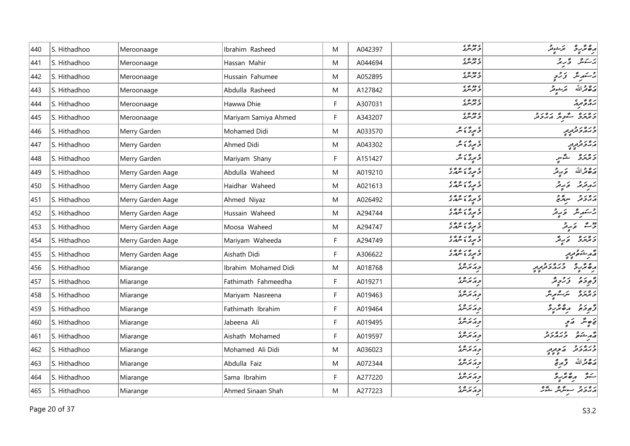| 440 | S. Hithadhoo | Meroonaage        | Ibrahim Rasheed      | M         | A042397 | ی دو بر ی<br>تر سری            | ا پر ځانگړنه د<br>ئىزىشەقر<br>ئ                |
|-----|--------------|-------------------|----------------------|-----------|---------|--------------------------------|------------------------------------------------|
| 441 | S. Hithadhoo | Meroonaage        | Hassan Mahir         | M         | A044694 | ے دو یو ے<br>حرمتری            | بزستەنتىر<br>ۇرىر                              |
| 442 | S. Hithadhoo | Meroonaage        | Hussain Fahumee      | M         | A052895 | ه دو پر ه<br>تر سرگ            | برستهرش تررحي                                  |
| 443 | S. Hithadhoo | Meroonaage        | Abdulla Rasheed      | M         | A127842 | ے دو یو ے<br>تر سری            | ەھىراللە<br>محرشة فر                           |
| 444 | S. Hithadhoo | Meroonaage        | Hawwa Dhie           | F         | A307031 | ړ دد د د<br>د برس              | رە ئەتەرىم                                     |
| 445 | S. Hithadhoo | Meroonaage        | Mariyam Samiya Ahmed | F         | A343207 | ړ دو د پر<br>د بورس            | رەرە ئەرگەرەرد                                 |
| 446 | S. Hithadhoo | Merry Garden      | Mohamed Didi         | M         | A033570 | د سرچ کا مګر                   | و ر ه ر و<br>تر پروترترتر                      |
| 447 | S. Hithadhoo | Merry Garden      | <b>Ahmed Didi</b>    | ${\sf M}$ | A043302 | د مړيځ کمر                     | ر ص ر و<br>  پر پر تر تر تر تر                 |
| 448 | S. Hithadhoo | Merry Garden      | Mariyam Shany        | F         | A151427 | <sup>ى</sup> بېرتە كەشر        | دەرە ھەر                                       |
| 449 | S. Hithadhoo | Merry Garden Aage | Abdulla Waheed       | M         | A019210 | ې په دې ده وې<br>ترمېرۍ ناسمدې | برە دالله كەببەر                               |
| 450 | S. Hithadhoo | Merry Garden Aage | Haidhar Waheed       | M         | A021613 | ې په پره وي<br>د مړي د سرو د   | برمرتر تراتر                                   |
| 451 | S. Hithadhoo | Merry Garden Aage | Ahmed Niyaz          | M         | A026492 | ې په پره وي<br>د پرې په شمه د  | رەرو سۆر                                       |
| 452 | S. Hithadhoo | Merry Garden Aage | Hussain Waheed       | M         | A294744 | ې په پره وي<br>د پېړۍ په سروري | ير سكر مكر التحرير                             |
| 453 | S. Hithadhoo | Merry Garden Aage | Moosa Waheed         | M         | A294747 | ې په پره وي<br>د پرې په شمه د  | اتز شه از کار در در میباند<br>ا                |
| 454 | S. Hithadhoo | Merry Garden Aage | Mariyam Waheeda      | F.        | A294749 | ې په ده وه و،<br>د برد وسمدې   | دەرە كەبىر                                     |
| 455 | S. Hithadhoo | Merry Garden Aage | Aishath Didi         | F         | A306622 | ې په پره وي<br>د پرې په سرور   | ر<br>په د څون وروړ                             |
| 456 | S. Hithadhoo | Miarange          | Ibrahim Mohamed Didi | M         | A018768 | جەئمەتىرى                      | دە ئەرد<br>د ده د و<br>تر د پر ترترتر<br>تار د |
| 457 | S. Hithadhoo | Miarange          | Fathimath Fahmeedha  | F         | A019271 | جەئمەتىرى                      | وتموذة وراوقا                                  |
| 458 | S. Hithadhoo | Miarange          | Mariyam Nasreena     | F         | A019463 | جەنزىر ھ                       | ر ه ر ه<br><del>ر</del> بربرگ<br>ىئرىشمېرىتر   |
| 459 | S. Hithadhoo | Miarange          | Fathimath Ibrahim    | F         | A019464 | جەئمەتىرى                      | ومجددة المصريدة                                |
| 460 | S. Hithadhoo | Miarange          | Jabeena Ali          | F         | A019495 | جەئمەتىنى                      | تے صدَّ کے م                                   |
| 461 | S. Hithadhoo | Miarange          | Aishath Mohamed      | F         | A019597 | حەر ئەھرى                      | و دره دره در د                                 |
| 462 | S. Hithadhoo | Miarange          | Mohamed Ali Didi     | M         | A036023 | ىر تەرەپ ي                     | دره رو<br>دبرمردتر کردبربر                     |
| 463 | S. Hithadhoo | Miarange          | Abdulla Faiz         | M         | A072344 | ىر تەرەپ ي                     | صصرالله<br>ترمرج                               |
| 464 | S. Hithadhoo | Miarange          | Sama Ibrahim         | F.        | A277220 | جەئمەتىنى                      | ر ده مره تر د                                  |
| 465 | S. Hithadhoo | Miarange          | Ahmed Sinaan Shah    | M         | A277223 | ود ټر ه پ                      | رەر دېر سەرگەر شەر                             |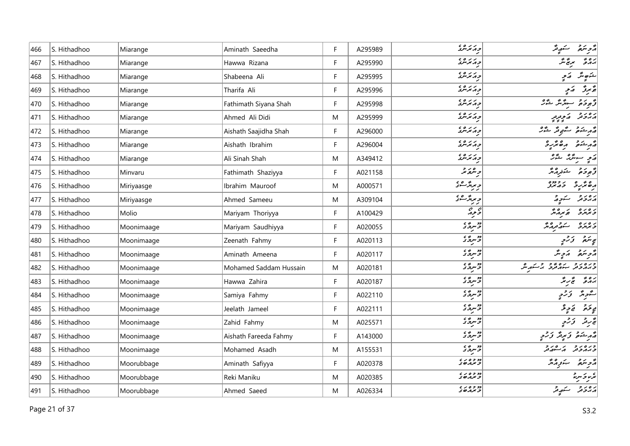| 466 | S. Hithadhoo | Miarange   | Aminath Saeedha        | F  | A295989 | جەئمەتىنى                          | سەرپەتىر<br>$\frac{2}{30}$<br>$\frac{2}{30}$ |
|-----|--------------|------------|------------------------|----|---------|------------------------------------|----------------------------------------------|
| 467 | S. Hithadhoo | Miarange   | Hawwa Rizana           | F. | A295990 | جەئمەتىرى                          | برېمنگ                                       |
| 468 | S. Hithadhoo | Miarange   | Shabeena Ali           | F. | A295995 | جەئمەتلىكە                         | شەھ ب <sup>ى</sup> ر<br>ەكىپىيە              |
| 469 | S. Hithadhoo | Miarange   | Tharifa Ali            | F. | A295996 | جەئمەتىرى                          | چېرو چې                                      |
| 470 | S. Hithadhoo | Miarange   | Fathimath Siyana Shah  | F  | A295998 | احور بخرجوج                        | توجوح كمستر الملحم                           |
| 471 | S. Hithadhoo | Miarange   | Ahmed Ali Didi         | M  | A295999 | جەئمەتىرى                          | رەر 3 كەبەلەر<br>مەركىمە كەبەلەر             |
| 472 | S. Hithadhoo | Miarange   | Aishath Saajidha Shah  | F  | A296000 | بر بر ۵ ،<br>بر <sub>م</sub> رس    | ە<br>مەرشىم شىرىر ش                          |
| 473 | S. Hithadhoo | Miarange   | Aishath Ibrahim        | F. | A296004 | جەئمەتىرى                          |                                              |
| 474 | S. Hithadhoo | Miarange   | Ali Sinah Shah         | M  | A349412 | ىر تەرەپ ي                         | أقامي سوسرها الشور                           |
| 475 | S. Hithadhoo | Minvaru    | Fathimath Shaziyya     | F. | A021158 | حر مثر چر                          | و ده شوره د                                  |
| 476 | S. Hithadhoo | Miriyaasge | Ibrahim Mauroof        | M  | A000571 | ى <i>ر بىر ب<sup>ۇر ھ</sup> ئى</i> | وه پر ده دوه                                 |
| 477 | S. Hithadhoo | Miriyaasge | Ahmed Sameeu           | M  | A309104 | <i>ج</i> مہر میں<br>  سے میں       | دەرو سەچ                                     |
| 478 | S. Hithadhoo | Molio      | Mariyam Thoriyya       | F  | A100429 | كتجمعيه                            | גפנס גם                                      |
| 479 | S. Hithadhoo | Moonimaage | Mariyam Saudhiyya      | F  | A020055 | دو<br>ترسرپری                      | נים נים הקבנים מיי<br>המחניה ההבנים מיי      |
| 480 | S. Hithadhoo | Moonimaage | Zeenath Fahmy          | F  | A020113 | دو په په<br>د سرچ د                | يې ئىرقى ئۆزىر                               |
| 481 | S. Hithadhoo | Moonimaage | Aminath Ameena         | F. | A020117 | ادو په په<br>م                     | أأروبتكم أأأرمي                              |
| 482 | S. Hithadhoo | Moonimaage | Mohamed Saddam Hussain | M  | A020181 | ادو پرچ <sub>کا</sub>              | ورەرو رەپوو وركور                            |
| 483 | S. Hithadhoo | Moonimaage | Hawwa Zahira           | F. | A020187 | ود سرچ ی<br>څسرچ <sub>ک</sub>      | برەۋ ئاپ                                     |
| 484 | S. Hithadhoo | Moonimaage | Samiya Fahmy           | F  | A022110 | دو په په په<br>د سرچ د             | ستمويژ أورمي                                 |
| 485 | S. Hithadhoo | Moonimaage | Jeelath Jameel         | F. | A022111 | ود سرچ ی<br>څسرچ <sub>ک</sub>      | يې ئەڭ ئەرپ                                  |
| 486 | S. Hithadhoo | Moonimaage | Zahid Fahmy            | M  | A025571 | دو په په<br>د سرچ د                | پر ديگر تورمي<br>پر                          |
| 487 | S. Hithadhoo | Moonimaage | Aishath Fareeda Fahmy  | F  | A143000 | دو<br>ترسرپری                      | أقهر خنقي وكبرقر وكرمي                       |
| 488 | S. Hithadhoo | Moonimaage | Mohamed Asadh          | M  | A155531 | دو په په<br>د سرچ ک                | ورەرو بەرەرو<br>جەيرونر بەسىر                |
| 489 | S. Hithadhoo | Moorubbage | Aminath Safiyya        | F  | A020378 | ח כם גם<br>צ'ומס ב                 | أأرسن سكروا                                  |
| 490 | S. Hithadhoo | Moorubbage | Reki Maniku            | M  | A020385 | ח כם גם<br>צ'ומס ב                 | ء<br>مرسو سرین <sup>ہ</sup>                  |
| 491 | S. Hithadhoo | Moorubbage | Ahmed Saeed            | M  | A026334 | ח כם ג'ם<br>צ'ו <i>נר</i> וס ב     | رەر <i>جەمھەر تە</i>                         |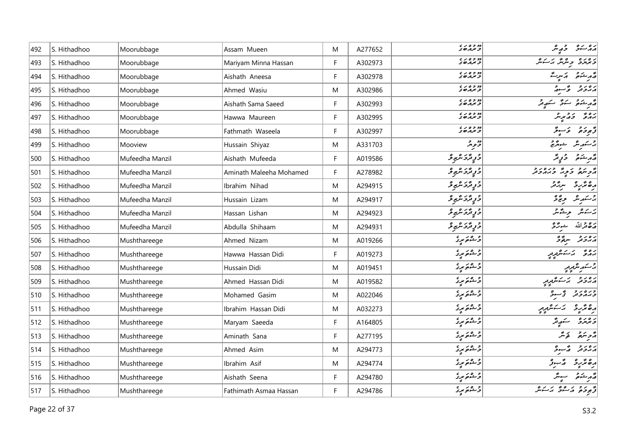| 492 | S. Hithadhoo | Moorubbage      | Assam Mueen             | M  | A277652 | ח כם גם<br>צ'ומס ב                   | پروے و ویہ                                              |
|-----|--------------|-----------------|-------------------------|----|---------|--------------------------------------|---------------------------------------------------------|
| 493 | S. Hithadhoo | Moorubbage      | Mariyam Minna Hassan    | F  | A302973 | ח כם ג'ם<br>צ'ו <i>נרו</i> ס צ       | دوره وعرش ټر شر                                         |
| 494 | S. Hithadhoo | Moorubbage      | Aishath Aneesa          | F  | A302978 | ח כם ג'ם<br>צ'ו <i>נר</i> וס ב       | أقهر منكاة الكاسر متوسته                                |
| 495 | S. Hithadhoo | Moorubbage      | Ahmed Wasiu             | M  | A302986 | כב כ כ ג ג<br><i>ה יצ</i> ונמים צ    |                                                         |
| 496 | S. Hithadhoo | Moorubbage      | Aishath Sama Saeed      | F  | A302993 | ח כם ג'ם<br>צ'ו <i>נר</i> וס ב       | ۇرىشو كۆك كورۇ                                          |
| 497 | S. Hithadhoo | Moorubbage      | Hawwa Maureen           | F  | A302995 | ח כם גם<br>צ'ומרים ב                 | ره د د پرتر                                             |
| 498 | S. Hithadhoo | Moorubbage      | Fathmath Waseela        | F  | A302997 | ח כם ג'ם<br>צ'ו <i>נר</i> וס ב       | أزُّهِ دَمَ وَسوءٌ                                      |
| 499 | S. Hithadhoo | Mooview         | Hussain Shiyaz          | M  | A331703 | وحور                                 | چرىسىم ھەدىرى                                           |
| 500 | S. Hithadhoo | Mufeedha Manzil | Aishath Mufeeda         | F  | A019586 | ۇ <sub>پە</sub> ئەر ئىمى ئە          | أقرم يشتمون وتوقد                                       |
| 501 | S. Hithadhoo | Mufeedha Manzil | Aminath Maleeha Mohamed | F  | A278982 | ۇ پە ئەر ئىرى <i>نى</i> ئى           | أأوسم وكمجد ورودة                                       |
| 502 | S. Hithadhoo | Mufeedha Manzil | Ibrahim Nihad           | M  | A294915 | ۇ <sub>پە</sub> ترى <i>ر ش</i> ېرىگە | رە ئەر ئىرىگە                                           |
| 503 | S. Hithadhoo | Mufeedha Manzil | Hussain Lizam           | M  | A294917 | دۇپۇر ئىرىمۇ                         | جر مسكر مثر العراقي والمحمد                             |
| 504 | S. Hithadhoo | Mufeedha Manzil | Hassan Lishan           | M  | A294923 | ۇ <sub>پە</sub> ئەر ئىمى ئە          | يُرَسَمَسُ وَحَدَّسْ                                    |
| 505 | S. Hithadhoo | Mufeedha Manzil | Abdulla Shihaam         | M  | A294931 | دۇپەڭرىمىي ئە                        | ەھىراللە<br>شەرگەنۇ                                     |
| 506 | S. Hithadhoo | Mushthareege    | Ahmed Nizam             | M  | A019266 | د شور پر <sup>ج</sup>                | رەرو سۇۋ                                                |
| 507 | S. Hithadhoo | Mushthareege    | Hawwa Hassan Didi       | F. | A019273 | د هم بر <sup>م</sup><br>د هم برد     | رەپە بەسەئىرىر<br>بەيرە بەسەئىرىد                       |
| 508 | S. Hithadhoo | Mushthareege    | Hussain Didi            | M  | A019451 | د شو <sub>م</sub> <sub>مر</sub> ءِ   | جر ڪمبر سرورپر                                          |
| 509 | S. Hithadhoo | Mushthareege    | Ahmed Hassan Didi       | M  | A019582 | د شور سر م<br>تر شور سر د            | رەرو بەسكەبىرىر<br>مەرور بەسكەبىرىر                     |
| 510 | S. Hithadhoo | Mushthareege    | Mohamed Gasim           | M  | A022046 | د هم بر <sup>م</sup><br>د هم برد     | ورەرو ۋىرو                                              |
| 511 | S. Hithadhoo | Mushthareege    | Ibrahim Hassan Didi     | M  | A032273 | و شوېر په<br>تر شوم پر د             | سىسىسىسىسىدىن ئەرەپىر<br>ئەسىسىسىسى<br>ىر ھەتتەر 2<br>س |
| 512 | S. Hithadhoo | Mushthareege    | Maryam Saeeda           | F  | A164805 | و شوېر په<br>د شوې مړي               | ر ه بر ه<br>تر <del>ب</del> ر بر ژ<br>سته وتر           |
| 513 | S. Hithadhoo | Mushthareege    | Aminath Sana            | F  | A277195 | د شور سره<br>د شوم سره               | ۇ ئەسىرە ئۇيىگە                                         |
| 514 | S. Hithadhoo | Mushthareege    | Ahmed Asim              | M  | A294773 | د شور سره<br>د شوم سره               | גם גב ביייב                                             |
| 515 | S. Hithadhoo | Mushthareege    | Ibrahim Asif            | M  | A294774 | د ه د مړينې<br>د شوم مړي             | ەرھ ئ <sup>ۆ</sup> ر ۋ<br>ە ئەسىرى                      |
| 516 | S. Hithadhoo | Mushthareege    | Aishath Seena           | F  | A294780 | و شو <sub>م</sub> <sub>مو</sub> ءِ   | پ <sup>ر</sup> د شوه گ<br>سیونگر<br>په                  |
| 517 | S. Hithadhoo | Mushthareege    | Fathimath Asmaa Hassan  | F  | A294786 | د هم پرې<br>د شوتمونو                | قهوده د ه و بر ده                                       |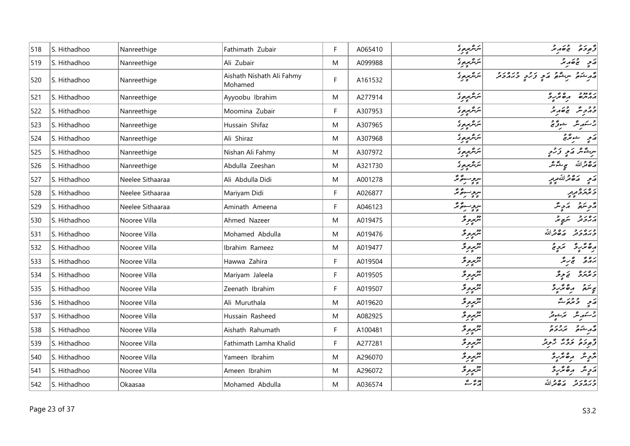| 518 | S. Hithadhoo | Nanreethige      | Fathimath Zubair                     | E           | A065410 | ىئەبىرىدى<br>مەسىر       | و و ده ده و د                                                                                                                                  |
|-----|--------------|------------------|--------------------------------------|-------------|---------|--------------------------|------------------------------------------------------------------------------------------------------------------------------------------------|
| 519 | S. Hithadhoo | Nanreethige      | Ali Zubair                           | M           | A099988 | ىئەمىر<br>سرىپرىيرى      | أيمو محامد                                                                                                                                     |
| 520 | S. Hithadhoo | Nanreethige      | Aishath Nishath Ali Fahmy<br>Mohamed | F           | A161532 | ىئەبىرىيە<br>م           | د.<br>مرشوء سيشي مرد وكرد ورورد                                                                                                                |
| 521 | S. Hithadhoo | Nanreethige      | Ayyoobu Ibrahim                      | M           | A277914 | ىئەبىرىدى<br>م           | ג ם בב ב<br>ה'הרישים<br>مەھترىرى                                                                                                               |
| 522 | S. Hithadhoo | Nanreethige      | Moomina Zubair                       | F           | A307953 | ىئەمىر<br>مىزىنز مور     | בגבת הסתיב                                                                                                                                     |
| 523 | S. Hithadhoo | Nanreethige      | Hussain Shifaz                       | M           | A307965 | ىئەمىرىدى<br>مەسرىيە     | چرىسىم ھەرمىي                                                                                                                                  |
| 524 | S. Hithadhoo | Nanreethige      | Ali Shiraz                           | M           | A307968 | ىئەبىرىدى<br>ئىستىر      | $\begin{array}{cc} \mathcal{E}_{\mathcal{S}} & \mathcal{E}_{\mathcal{S}} \\ \mathcal{E}_{\mathcal{S}} & \mathcal{E}_{\mathcal{S}} \end{array}$ |
| 525 | S. Hithadhoo | Nanreethige      | Nishan Ali Fahmy                     | M           | A307972 | ىئەبىرىدى<br>ئ           | سرڪش كي وگي                                                                                                                                    |
| 526 | S. Hithadhoo | Nanreethige      | Abdulla Zeeshan                      | M           | A321730 | ىئەمىر<br>مىزىنزىرمو ئ   | برة قرالله ب <sub>ح</sub> شة مر                                                                                                                |
| 527 | S. Hithadhoo | Neelee Sithaaraa | Ali Abdulla Didi                     | M           | A001278 | مربو سوء تر<br>ترس       | ر<br>حريب حقوقه اللّه مومر                                                                                                                     |
| 528 | S. Hithadhoo | Neelee Sithaaraa | Mariyam Didi                         | F           | A026877 | سربو سوه نو<br>نو نو     | <br>  تر چه تر تو تو تو تو                                                                                                                     |
| 529 | S. Hithadhoo | Neelee Sithaaraa | Aminath Ameena                       | F           | A046123 | مربو سىۋىمە<br>ئىقسىر    | ړې سره دې پر                                                                                                                                   |
| 530 | S. Hithadhoo | Nooree Villa     | Ahmed Nazeer                         | M           | A019475 | يژ <sub>موعو</sub> مۇ    | د ۱۵ د حرب سري شر                                                                                                                              |
| 531 | S. Hithadhoo | Nooree Villa     | Mohamed Abdulla                      | M           | A019476 | تز <sub>ىجرعر</sub> تَرَ | وره رو ده دالله                                                                                                                                |
| 532 | S. Hithadhoo | Nooree Villa     | Ibrahim Rameez                       | M           | A019477 | در<br>مرسم دیگر          | ەر ھەتمەر 2<br>ب<br>بمرديج                                                                                                                     |
| 533 | S. Hithadhoo | Nooree Villa     | Hawwa Zahira                         | F           | A019504 | يژ <sub>موعو</sub> مۇ    | چ پر پر<br>م<br>رە پە<br>پەرى                                                                                                                  |
| 534 | S. Hithadhoo | Nooree Villa     | Mariyam Jaleela                      | F           | A019505 | يژ <sub>موعو</sub> مۇ    | ويوبره<br>تع و و گ                                                                                                                             |
| 535 | S. Hithadhoo | Nooree Villa     | Zeenath Ibrahim                      | $\mathsf F$ | A019507 | يژ <sub>موعو</sub> مۇ    | ى ئىر ئەھمەر 20 مۇرىي<br>ئ                                                                                                                     |
| 536 | S. Hithadhoo | Nooree Villa     | Ali Muruthala                        | M           | A019620 | يژ <sub>موعو</sub> مۇ    | أرشم ودرج                                                                                                                                      |
| 537 | S. Hithadhoo | Nooree Villa     | Hussain Rasheed                      | M           | A082925 | يژ <sub>موعو</sub> مۇ    | رحم شكر مكر مكر المحر وتر                                                                                                                      |
| 538 | S. Hithadhoo | Nooree Villa     | Aishath Rahumath                     | F           | A100481 | چې<br>مرسم عر            | ه در در در در د                                                                                                                                |
| 539 | S. Hithadhoo | Nooree Villa     | Fathimath Lamha Khalid               | $\mathsf F$ | A277281 | يژ <sub>موعو</sub> مۇ    | وٌ وٍ وَ وَ وَ بُرْ وَ وَ وَ دَ                                                                                                                |
| 540 | S. Hithadhoo | Nooree Villa     | Yameen Ibrahim                       | M           | A296070 | يژ <sub>مپرو</sub> ئۇ    | أثرج بثر أره تربر و                                                                                                                            |
| 541 | S. Hithadhoo | Nooree Villa     | Ameen Ibrahim                        | M           | A296072 | تزىر <sub>ئو</sub> رۇ    | ړَ په شر<br>وە ئۆرۈ                                                                                                                            |
| 542 | S. Hithadhoo | Okaasaa          | Mohamed Abdulla                      | M           | A036574 | رەمۇرى                   | وره رو ده دالله                                                                                                                                |
|     |              |                  |                                      |             |         |                          |                                                                                                                                                |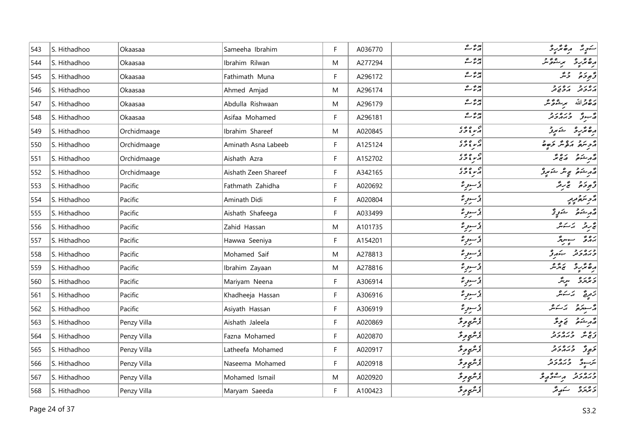| 543 | S. Hithadhoo | Okaasaa     | Sameeha Ibrahim      | F         | A036770 | رەيئە                 | ەرھەترىر <sup>ە</sup><br>سەدە پر                                                                                                                                                                                                 |
|-----|--------------|-------------|----------------------|-----------|---------|-----------------------|----------------------------------------------------------------------------------------------------------------------------------------------------------------------------------------------------------------------------------|
| 544 | S. Hithadhoo | Okaasaa     | Ibrahim Rilwan       | M         | A277294 | پرڻ ٿ                 | دە ئەرد<br>ىر شەھ بىر                                                                                                                                                                                                            |
| 545 | S. Hithadhoo | Okaasaa     | Fathimath Muna       | F         | A296172 | ارتزمته               | تر شر<br>و په پر د                                                                                                                                                                                                               |
| 546 | S. Hithadhoo | Okaasaa     | Ahmed Amjad          | M         | A296174 | ریز مح                | بر 2 پر ج<br>مربر <del>3</del> تر<br>پر 2 پر 5<br>پر 5 پی تو                                                                                                                                                                     |
| 547 | S. Hithadhoo | Okaasaa     | Abdulla Rishwaan     | ${\sf M}$ | A296179 | ارتزمته               | برە تراللە<br>ىر شەھ بىر                                                                                                                                                                                                         |
| 548 | S. Hithadhoo | Okaasaa     | Asifaa Mohamed       | F         | A296181 | رەيئە                 | و ره ر و<br><i>د ب</i> رگرفر<br>پۇسىدۇ.<br>مەسىرى                                                                                                                                                                                |
| 549 | S. Hithadhoo | Orchidmaage | Ibrahim Shareef      | M         | A020845 |                       | رەترىرو شېرز                                                                                                                                                                                                                     |
| 550 | S. Hithadhoo | Orchidmaage | Aminath Asna Labeeb  | F         | A125124 |                       |                                                                                                                                                                                                                                  |
| 551 | S. Hithadhoo | Orchidmaage | Aishath Azra         | F         | A152702 |                       | و دره ده و                                                                                                                                                                                                                       |
| 552 | S. Hithadhoo | Orchidmaage | Aishath Zeen Shareef | F         | A342165 | ەر مەن<br>مەنبە جەنبى | و مشتر ہے مگر ڪوبي و                                                                                                                                                                                                             |
| 553 | S. Hithadhoo | Pacific     | Fathmath Zahidha     | F         | A020692 | ۇ سەر ر<br>بە         | و څوخه ځې شر                                                                                                                                                                                                                     |
| 554 | S. Hithadhoo | Pacific     | Aminath Didi         | F         | A020804 | نې سور ر<br>سيد       | ړ و سره وروړ                                                                                                                                                                                                                     |
| 555 | S. Hithadhoo | Pacific     | Aishath Shafeega     | F         | A033499 | ۇسىور ئە              | و المراسم المسلم المسلم المسلم المسلم المسلم المسلم المسلم المسلم المسلم المسلم المسلم المسلم المسلم المسلم ال<br>المسلم المسلم المسلم المسلم المسلم المسلم المسلم المسلم المسلم المسلم المسلم المسلم المسلم المسلم المسلم المسل |
| 556 | S. Hithadhoo | Pacific     | Zahid Hassan         | ${\sf M}$ | A101735 | ې سور ر<br>مر         | چ <i>پر قر</i> - ئەسەئىر                                                                                                                                                                                                         |
| 557 | S. Hithadhoo | Pacific     | Hawwa Seeniya        | F         | A154201 | ې سور ر<br>بر         | برەپچ<br>سىسرىگر                                                                                                                                                                                                                 |
| 558 | S. Hithadhoo | Pacific     | Mohamed Saif         | ${\sf M}$ | A278813 | ۇ سەر ر<br>مەس        | ورەرو بەر                                                                                                                                                                                                                        |
| 559 | S. Hithadhoo | Pacific     | Ibrahim Zayaan       | ${\sf M}$ | A278816 | ۇ سەر ر<br>بەر        | ىج پۇرىگە<br>ەر ھەتمەر 2<br>ر                                                                                                                                                                                                    |
| 560 | S. Hithadhoo | Pacific     | Mariyam Neena        | F         | A306914 | ۇ سىزىر تە<br>بەر بەر | ر ه ر ه<br><del>و</del> بربرو<br>سریٹر                                                                                                                                                                                           |
| 561 | S. Hithadhoo | Pacific     | Khadheeja Hassan     | F.        | A306916 | ۇ سەر ر<br>بەر        | ترىرى <i>غ بركى</i> تر                                                                                                                                                                                                           |
| 562 | S. Hithadhoo | Pacific     | Asiyath Hassan       | F         | A306919 | ۇسىور                 | پ <sup>و</sup> سوهره<br>د<br>برسەھە                                                                                                                                                                                              |
| 563 | S. Hithadhoo | Penzy Villa | Aishath Jaleela      | F         | A020869 | ۇشبې و دً             | أأمر شكم في المحمد في المحمد                                                                                                                                                                                                     |
| 564 | S. Hithadhoo | Penzy Villa | Fazna Mohamed        | F         | A020870 | ۇشمې و دً             | وه معده دره در                                                                                                                                                                                                                   |
| 565 | S. Hithadhoo | Penzy Villa | Latheefa Mohamed     | F         | A020917 | ۇيرىپى ھەمە           | تزېږۇ دېرەرد                                                                                                                                                                                                                     |
| 566 | S. Hithadhoo | Penzy Villa | Naseema Mohamed      | F         | A020918 | إزىثر بإعرقر          | ىئەسەدىچ<br>و رە ر د<br>تر پر تر تر                                                                                                                                                                                              |
| 567 | S. Hithadhoo | Penzy Villa | Mohamed Ismail       | ${\sf M}$ | A020920 | ئۇشمېرىرىگە           | و رە ر د<br><i>د بە</i> پەر تەر<br>بر شۇپرۇ                                                                                                                                                                                      |
| 568 | S. Hithadhoo | Penzy Villa | Maryam Saeeda        | F         | A100423 | ئۇشجومۇ               | ويوده ستهدش                                                                                                                                                                                                                      |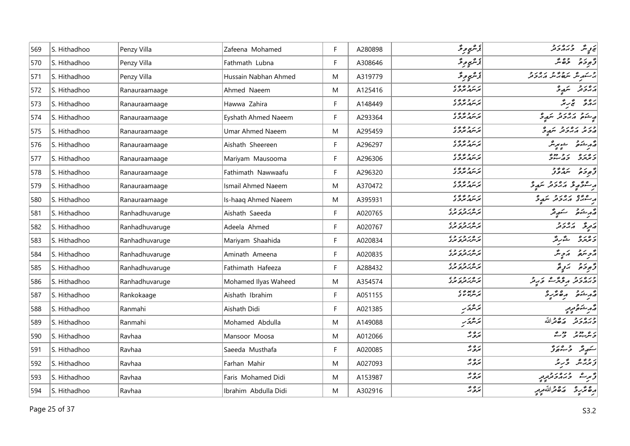| 569 | S. Hithadhoo  | Penzy Villa    | Zafeena Mohamed         | F           | A280898 | ۇيرى ھەر                       | كالمحموية وبرورد                                                                                               |
|-----|---------------|----------------|-------------------------|-------------|---------|--------------------------------|----------------------------------------------------------------------------------------------------------------|
| 570 | S. Hithadhoo  | Penzy Villa    | Fathmath Lubna          | F           | A308646 | ڈیٹر پی عرتمہ                  | ژُبودَ و ژه ش                                                                                                  |
| 571 | S. Hithadhoo  | Penzy Villa    | Hussain Nabhan Ahmed    | M           | A319779 | ئۇشمېرىرىگە                    | و کے مرکز مرکز دی کر دیا ہے۔<br>پر کے مرکز مرکز کر مرکز فر                                                     |
| 572 | S. Hithadhoo  | Ranauraamaage  | Ahmed Naeem             | M           | A125416 | ر ر د ه ه ه ،<br>برسمه برو د   | גפיב הבכ                                                                                                       |
| 573 | S. Hithadhoo  | Ranauraamaage  | Hawwa Zahira            | F           | A148449 | ر ر د و و و ،<br>برس پرو د     | برە ئەستىر                                                                                                     |
| 574 | S. Hithadhoo  | Ranauraamaage  | Eyshath Ahmed Naeem     | F           | A293364 | ر ر د « » »<br>برس پر ژ د      | ويشو أرور والمرو                                                                                               |
| 575 | lS. Hithadhoo | Ranauraamaage  | <b>Umar Ahmed Naeem</b> | M           | A295459 | ر ر د د د د<br>برس پر ژ        | ور و رەر و پرور                                                                                                |
| 576 | S. Hithadhoo  | Ranauraamaage  | Aishath Sheereen        | F           | A296297 | ر ر د « » »<br>برس پر ژ د      | ۇرمۇم ھېرىر                                                                                                    |
| 577 | S. Hithadhoo  | Ranauraamaage  | Mariyam Mausooma        | F           | A296306 | ر ر د « » »<br>برس پر ترو د    | נים נים בדיים.<br>במחבר בניהיים                                                                                |
| 578 | S. Hithadhoo  | Ranauraamaage  | Fathimath Nawwaafu      | F           | A296320 | ر ر د د د د<br>برس پر ژ        | أزجر حمد المتمر                                                                                                |
| 579 | S. Hithadhoo  | Ranauraamaage  | Ismail Ahmed Naeem      | M           | A370472 | ر ر د د د د<br>برس پر ژ        | ر مؤثر و رور د سمده                                                                                            |
| 580 | S. Hithadhoo  | Ranauraamaage  | Is-haaq Ahmed Naeem     | M           | A395931 | ر ر د « » »<br>برس پر ژ د      | و عمدة الملاحظ المعرفة و                                                                                       |
| 581 | S. Hithadhoo  | Ranhadhuvaruge | Aishath Saeeda          | F           | A020765 | ر ہ ر د ر د ،<br>برس ر ترہ بری | وكرمشكم التكرمون                                                                                               |
| 582 | S. Hithadhoo  | Ranhadhuvaruge | Adeela Ahmed            | $\mathsf F$ | A020767 | ر ہ ر د ر د ،<br>برس ترو بری   | ړ په د مرکز د کل                                                                                               |
| 583 | S. Hithadhoo  | Ranhadhuvaruge | Mariyam Shaahida        | F           | A020834 | ر ٥ ر ٥ ر ٥ و<br>برس ترتوح بوی | رەرە شەرقە                                                                                                     |
| 584 | S. Hithadhoo  | Ranhadhuvaruge | Aminath Ameena          | F           | A020835 | ر ٥ ر ٥ ر ٥ و<br>برس ترتوح بوی | ړې سره په ډېر شر                                                                                               |
| 585 | S. Hithadhoo  | Ranhadhuvaruge | Fathimath Hafeeza       | F           | A288432 | ر ۵ ر و ر و ،<br>برس ترو بور   | رُّمِ دَمَ لَمَ رَبِّهُ ۖ                                                                                      |
| 586 | S. Hithadhoo  | Ranhadhuvaruge | Mohamed Ilyas Waheed    | M           | A354574 | ر ہ ر د ر د ،<br>برس ترو بری   | ورەرو روۋے كريۇ                                                                                                |
| 587 | S. Hithadhoo  | Rankokaage     | Aishath Ibrahim         | F           | A051155 | ر ٥ پر <i>٤ ٤</i><br>برس لا ړ  |                                                                                                                |
| 588 | S. Hithadhoo  | Ranmahi        | Aishath Didi            | F           | A021385 | برەير                          | ر<br>د که رستوه تورمو                                                                                          |
| 589 | S. Hithadhoo  | Ranmahi        | Mohamed Abdulla         | M           | A149088 | بریژیر                         | وره رو ده دالله                                                                                                |
| 590 | S. Hithadhoo  | Ravhaa         | Mansoor Moosa           | M           | A012066 | ر ه و<br>برو بر                | ر ۵٫۵ ووگ                                                                                                      |
| 591 | S. Hithadhoo  | Ravhaa         | Saeeda Musthafa         | F           | A020085 | ر ه و<br>برو بر                | سەمەتر تەسىرى                                                                                                  |
| 592 | S. Hithadhoo  | Ravhaa         | Farhan Mahir            | M           | A027093 | ر ه و<br>برو بر                | و دوم و څرمه                                                                                                   |
| 593 | S. Hithadhoo  | Ravhaa         | Faris Mohamed Didi      | M           | A153987 | ر ه و<br>مرد بر                | تحر و درور در در در در در در در در در این در این در این در این در این در این در این در این در این در این در ای |
| 594 | S. Hithadhoo  | Ravhaa         | Ibrahim Abdulla Didi    | M           | A302916 | ر ه و.<br>مرد بر               | مرە ئرىرى مەھىراللەمرىر                                                                                        |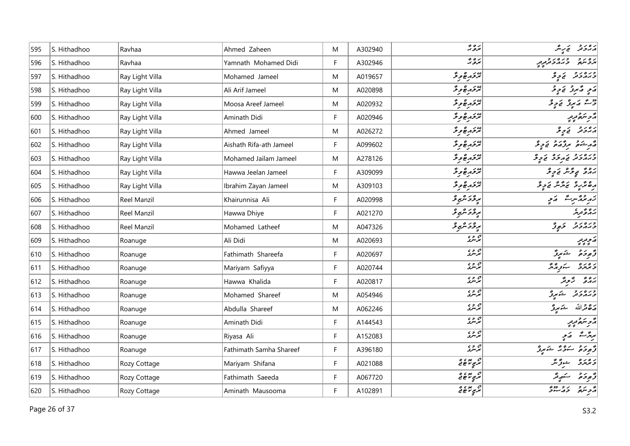| 595 | S. Hithadhoo | Ravhaa          | Ahmed Zaheen            | M  | A302940 | ر ه و.<br>برو بر                              | أرور ويحار المحاريث                     |
|-----|--------------|-----------------|-------------------------|----|---------|-----------------------------------------------|-----------------------------------------|
| 596 | S. Hithadhoo | Ravhaa          | Yamnath Mohamed Didi    | F. | A302946 | ر ه و<br>برو بر                               | ره رو وره رو<br>در سره وبرمروترترنر     |
| 597 | S. Hithadhoo | Ray Light Villa | Mohamed Jameel          | M  | A019657 | ير بحرم <b>ر ه</b> عرقه                       | ورەر دىج دۇ                             |
| 598 | S. Hithadhoo | Ray Light Villa | Ali Arif Jameel         | M  | A020898 | يمز <i>قرم</i> هو محر                         | مَوِ مُعرِزٌ فَوِدٌ                     |
| 599 | S. Hithadhoo | Ray Light Villa | Moosa Areef Jameel      | M  | A020932 | مرى<br>مرىخ مرغ م <sub>و</sub> م              | دونے <sub>مک</sub> رو <sub>کے ج</sub> و |
| 600 | S. Hithadhoo | Ray Light Villa | Aminath Didi            | F  | A020946 | يمو <i>ج</i> ره عرو                           | و سره در در<br>د سره در د               |
| 601 | S. Hithadhoo | Ray Light Villa | Ahmed Jameel            | M  | A026272 | يمو <i>مرد ه ه د</i> گر                       | رەر <del>د</del> ئ <sub>ەج</sub> ۇ      |
| 602 | S. Hithadhoo | Ray Light Villa | Aishath Rifa-ath Jameel | F. | A099602 | پر بحرم <u>ه</u> عرمحه                        | مەم شەق برۇمەق قاچ ۋ                    |
| 603 | S. Hithadhoo | Ray Light Villa | Mohamed Jailam Jameel   | M  | A278126 | مُدَمَرِ هِ عِرْمَ                            |                                         |
| 604 | S. Hithadhoo | Ray Light Villa | Hawwa Jeelan Jameel     | F  | A309099 | مُدْخَرِهِ هُو خَر                            | برە ئە ئەقىر قام ئا                     |
| 605 | S. Hithadhoo | Ray Light Villa | Ibrahim Zayan Jameel    | M  | A309103 | يمو <i>ج</i> ره عرو                           | مەھەر ئەر ئەم ئەج                       |
| 606 | S. Hithadhoo | Reel Manzil     | Khairunnisa Ali         | F  | A020998 | <br>  <sub>بو</sub> یوئر سر <sub>یکو</sub> یژ | زېږېدسرت پړنو                           |
| 607 | S. Hithadhoo | Reel Manzil     | Hawwa Dhiye             | F  | A021270 | برود عيوو                                     | برە بەر                                 |
| 608 | S. Hithadhoo | Reel Manzil     | Mohamed Latheef         | M  | A047326 | برد د شرېږ                                    | ورەرو كەر                               |
| 609 | S. Hithadhoo | Roanuge         | Ali Didi                | M  | A020693 | ہ و ،<br>مرسمد                                | ړ و در در<br>په پ                       |
| 610 | S. Hithadhoo | Roanuge         | Fathimath Shareefa      | F  | A020697 | ہ و ،<br>مرسمد                                | و و ده شکړو                             |
| 611 | S. Hithadhoo | Roanuge         | Mariyam Safiyya         | F  | A020744 | ە د ،<br>ئىرسرى                               | גם גם בארות המית                        |
| 612 | S. Hithadhoo | Roanuge         | Hawwa Khalida           | F  | A020817 | ہ و ،<br>مرسمد                                | رە ئەرتمە                               |
| 613 | S. Hithadhoo | Roanuge         | Mohamed Shareef         | M  | A054946 | ہ و ،<br>برسر                                 | و ر ه ر و<br>تر بر تر تر<br>ے موو       |
| 614 | S. Hithadhoo | Roanuge         | Abdulla Shareef         | M  | A062246 | ہ و ،<br>برسر                                 | ەھىراللە<br>ے مور <sup>9</sup>          |
| 615 | S. Hithadhoo | Roanuge         | Aminath Didi            | F  | A144543 | ہ و ،<br>برسر                                 | و<br>مركز سره تورمبر<br>مركز كرونج      |
| 616 | S. Hithadhoo | Roanuge         | Riyasa Ali              | F  | A152083 | ہ و ،<br>برس                                  | بروژ شه در                              |
| 617 | S. Hithadhoo | Roanuge         | Fathimath Samha Shareef | F  | A396180 | ە د ،<br>ئىرسرى                               | و دو ده شوره                            |
| 618 | S. Hithadhoo | Rozy Cottage    | Mariyam Shifana         | F  | A021088 | ص پر ۽ ه<br>تريپ تم ڪافي                      | رەرە ھۆتىگە<br><i>دىن</i> ەرۋا ھۆتىگ    |
| 619 | S. Hithadhoo | Rozy Cottage    | Fathimath Saeeda        | F  | A067720 | جریم برج مع مع                                | ۇي <sub>و</sub> رۇ سەرىگە               |
| 620 | S. Hithadhoo | Rozy Cottage    | Aminath Mausooma        | F  | A102891 | جریچ تونج مح<br>  تریپ تونج مح                | أثر منهج والمحمد المعجز                 |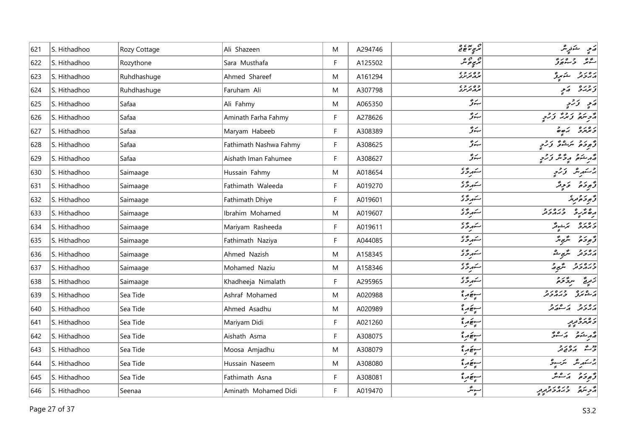| 621 | S. Hithadhoo | Rozy Cottage | Ali Shazeen            | M         | A294746 | ام<br>  پرېپې تو چو چ                                                                                                                                                  | ړي خوږ ه<br>دي خوږ ه<br>ري د د وري                        |
|-----|--------------|--------------|------------------------|-----------|---------|------------------------------------------------------------------------------------------------------------------------------------------------------------------------|-----------------------------------------------------------|
| 622 | S. Hithadhoo | Rozythone    | Sara Musthafa          | F.        | A125502 | ا<br>مربح موشر                                                                                                                                                         |                                                           |
| 623 | S. Hithadhoo | Ruhdhashuge  | Ahmed Shareef          | M         | A161294 | وه د و ،<br>برد تر تر د                                                                                                                                                | رەرد شىرو                                                 |
| 624 | S. Hithadhoo | Ruhdhashuge  | Faruham Ali            | M         | A307798 | و ه ر و ،<br>بوړنومونو                                                                                                                                                 | تر تر بر ه<br>گرس برگ<br>ەتىر                             |
| 625 | S. Hithadhoo | Safaa        | Ali Fahmy              | M         | A065350 | ىبە ئۇ                                                                                                                                                                 | أة يحتمد وترحي                                            |
| 626 | S. Hithadhoo | Safaa        | Aminath Farha Fahmy    | F         | A278626 | سەتى                                                                                                                                                                   | أأدوسم وتروم ورمي                                         |
| 627 | S. Hithadhoo | Safaa        | Maryam Habeeb          | F         | A308389 | سەتى                                                                                                                                                                   | 2010 101                                                  |
| 628 | S. Hithadhoo | Safaa        | Fathimath Nashwa Fahmy | F         | A308625 | سِتَوَرَّ                                                                                                                                                              | و دو تره و دره و                                          |
| 629 | S. Hithadhoo | Safaa        | Aishath Iman Fahumee   | F         | A308627 | سەۋ                                                                                                                                                                    |                                                           |
| 630 | S. Hithadhoo | Saimaage     | Hussain Fahmy          | M         | A018654 | لسكور                                                                                                                                                                  | <u>چرىئىرىتى ئىرگىچى</u>                                  |
| 631 | S. Hithadhoo | Saimaage     | Fathimath Waleeda      | F         | A019270 | ستهروء                                                                                                                                                                 | وُمِرَدُّ وَمِرْ                                          |
| 632 | S. Hithadhoo | Saimaage     | Fathimath Dhiye        | F         | A019601 | ستهروء                                                                                                                                                                 | و <i>گې د کامو</i> رکر                                    |
| 633 | S. Hithadhoo | Saimaage     | Ibrahim Mohamed        | M         | A019607 | سەرچ                                                                                                                                                                   | 0 2000 2000 000                                           |
| 634 | S. Hithadhoo | Saimaage     | Mariyam Rasheeda       | F         | A019611 | سەدى                                                                                                                                                                   | رەرە برشونگر                                              |
| 635 | S. Hithadhoo | Saimaage     | Fathimath Naziya       | F         | A044085 | ستهرون                                                                                                                                                                 | وَجودَهُ سَيَّجِهُ                                        |
| 636 | S. Hithadhoo | Saimaage     | Ahmed Nazish           | ${\sf M}$ | A158345 | سەدىر                                                                                                                                                                  | ىرەر بەر ئىگىنى ئىشىمى ئىشە<br>مەسىر تىرى <i>مى ئى</i> شە |
| 637 | S. Hithadhoo | Saimaage     | Mohamed Naziu          | M         | A158346 | ستهردى                                                                                                                                                                 | ورەر دېگېږ                                                |
| 638 | S. Hithadhoo | Saimaage     | Khadheeja Nimalath     | F.        | A295965 | ستهردى                                                                                                                                                                 | كزمريح سرفزفر                                             |
| 639 | S. Hithadhoo | Sea Tide     | Ashraf Mohamed         | M         | A020988 | $\stackrel{\circ}{\mathcal{E}}\hspace{-1.5pt}=\hspace{-1.5pt}\stackrel{\circ}{\mathcal{E}}\hspace{-1.5pt}=\hspace{-1.5pt}\stackrel{\circ}{\mathcal{E}}\hspace{-1.5pt}$ | د وړه در ورورو                                            |
| 640 | S. Hithadhoo | Sea Tide     | Ahmed Asadhu           | M         | A020989 | $\frac{1}{2}$                                                                                                                                                          | גפגב גםגב<br>הגבע הביהיב                                  |
| 641 | S. Hithadhoo | Sea Tide     | Mariyam Didi           | F         | A021260 | $\frac{1}{2}$                                                                                                                                                          | <br> تر چهرو مړمړ                                         |
| 642 | S. Hithadhoo | Sea Tide     | Aishath Asma           | F         | A308075 | $\frac{1}{2}$                                                                                                                                                          | ومرشوق وكالمستوقر                                         |
| 643 | S. Hithadhoo | Sea Tide     | Moosa Amjadhu          | M         | A308079 | $\stackrel{\circ}{\mathcal{E}}\hspace{-1.5pt}\mathcal{E}$                                                                                                              | دو میں دور د<br>درگ مرومے مر                              |
| 644 | S. Hithadhoo | Sea Tide     | Hussain Naseem         | M         | A308080 | ببوغوره                                                                                                                                                                | 2 س <i>ەر بىر سىرس</i> و                                  |
| 645 | S. Hithadhoo | Sea Tide     | Fathimath Asna         | F         | A308081 | $\frac{1}{2}$                                                                                                                                                          | قرم فرقته أن المستقر                                      |
| 646 | S. Hithadhoo | Seenaa       | Aminath Mohamed Didi   | F.        | A019470 | سەپىگر                                                                                                                                                                 | أثر مرد ورود ويدير                                        |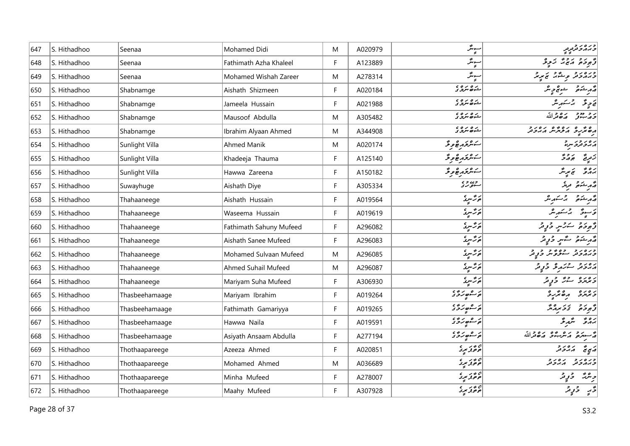| 647 | S. Hithadhoo | Seenaa         | Mohamed Didi               | M  | A020979 | سەپىگە                                            | <br>  تر بر بر تر تر تر تر بر<br>  تر بر مر تر تر تر |
|-----|--------------|----------------|----------------------------|----|---------|---------------------------------------------------|------------------------------------------------------|
| 648 | S. Hithadhoo | Seenaa         | Fathimath Azha Khaleel     | F. | A123889 | سەپىگر                                            | و دو روژ دیگر                                        |
| 649 | S. Hithadhoo | Seenaa         | Mohamed Wishah Zareer      | M  | A278314 | سەپىگر                                            | ورەرو وېش تمېر                                       |
| 650 | S. Hithadhoo | Shabnamge      | Aishath Shizmeen           | F  | A020184 | ر ده بره ،<br>شو <i>ه مرو د</i>                   | ۇرمۇق ھوقوپر                                         |
| 651 | S. Hithadhoo | Shabnamge      | Jameela Hussain            | F  | A021988 | ر <i>ە</i> رە ،<br>شەھ سرچ <sub>ك</sub>           | قاج قاريم المستمريكل                                 |
| 652 | S. Hithadhoo | Shabnamge      | Mausoof Abdulla            | M  | A305482 | شەھ سرچ ئ                                         | رو دوو پره درالله                                    |
| 653 | S. Hithadhoo | Shabnamge      | Ibrahim Alyaan Ahmed       | M  | A344908 | شەھ سرچ ي                                         |                                                      |
| 654 | S. Hithadhoo | Sunlight Villa | <b>Ahmed Manik</b>         | M  | A020174 | سەنكىرى ھ <sub>ى</sub> ئە                         | ر ہ ر د ر<br>ג پر تر تر تر بربا                      |
| 655 | S. Hithadhoo | Sunlight Villa | Khadeeja Thauma            | F  | A125140 | سەمىرى <i>زىر ھ<sub>ا</sub>م</i> و ئ <sup>ۇ</sup> | ئرَىمٍرٍ<br>س<br>بر و د.<br>جوړنر                    |
| 656 | S. Hithadhoo | Sunlight Villa | Hawwa Zareena              | F  | A150182 | سەمىز ئەھ بۇ ئ <sup>ى</sup> ر                     | رە ئەستىمىيەتگە<br>ئەمەم ئىستىمىيەتگە                |
| 657 | S. Hithadhoo | Suwayhuge      | Aishath Diye               | F. | A305334 | وړ، و ،<br>سعو ر <sub>ک</sub>                     | وٌ مرشَوْ مِرمَر                                     |
| 658 | S. Hithadhoo | Thahaaneege    | Aishath Hussain            | F  | A019564 | ۇرئەبەي                                           | ۇرىشكى بەسكىرىتى                                     |
| 659 | S. Hithadhoo | Thahaaneege    | Waseema Hussain            | F  | A019619 | ر پر<br>حوتر سرچ                                  | ى بىر ئەسكىرىش                                       |
| 660 | S. Hithadhoo | Thahaaneege    | Fathimath Sahuny Mufeed    | F  | A296082 | ۇرئىبەي                                           | ژودۇ خەرسى دېگر                                      |
| 661 | S. Hithadhoo | Thahaaneege    | Aishath Sanee Mufeed       | F  | A296083 | ۇرمىرى<br>مۇرىپرى                                 | أقهر منكومي الشمسي وتحفي فكر                         |
| 662 | S. Hithadhoo | Thahaaneege    | Mohamed Sulvaan Mufeed     | M  | A296085 | ر پر شرع<br>موس                                   |                                                      |
| 663 | S. Hithadhoo | Thahaaneege    | <b>Ahmed Suhail Mufeed</b> | M  | A296087 | ىر مەسرى<br>موسىرىيە                              | أرور و و و د و د و د د                               |
| 664 | S. Hithadhoo | Thahaaneege    | Mariyam Suha Mufeed        | F  | A306930 | ر پر<br>حوتر سرچ                                  | دەرە ئە دېر                                          |
| 665 | S. Hithadhoo | Thasbeehamaage | Mariyam Ibrahim            | F. | A019264 | ر ده په دره و،<br>موسسو په در                     | دە ئەرد<br>ر ه ر ه                                   |
| 666 | S. Hithadhoo | Thasbeehamaage | Fathimath Gamariyya        | F  | A019265 | ر مەھەر دى<br>مۇسىھەر <del>د</del> ى              | توجوحا تحكيمه                                        |
| 667 | S. Hithadhoo | Thasbeehamaage | Hawwa Naila                | F  | A019591 | ر ده په دره و                                     | رەپ شەۋ                                              |
| 668 | S. Hithadhoo | Thasbeehamaage | Asiyath Ansaam Abdulla     | F  | A277194 | ر ٥ مەھ رىپرى<br>مۇسىھ رىپرى                      | وكمستطر والمرور والملاه والله                        |
| 669 | S. Hithadhoo | Thothaapareege | Azeeza Ahmed               | F  | A020851 | ە پەر<br>جوڭرىمەد                                 | ړې په پره د د                                        |
| 670 | S. Hithadhoo | Thothaapareege | Mohamed Ahmed              | M  | A036689 | ج پور<br>حوج تر سر تر                             | و ر ه ر و<br>تر پر تر تر<br>پروژو                    |
| 671 | S. Hithadhoo | Thothaapareege | Minha Mufeed               | F. | A278007 | ە بەر<br>جۇ بىم مېرى                              | حرمثرمج<br>څ تو تر                                   |
| 672 | S. Hithadhoo | Thothaapareege | Maahy Mufeed               | F  | A307928 | ج پر سر ۽<br>حوڪو سي                              |                                                      |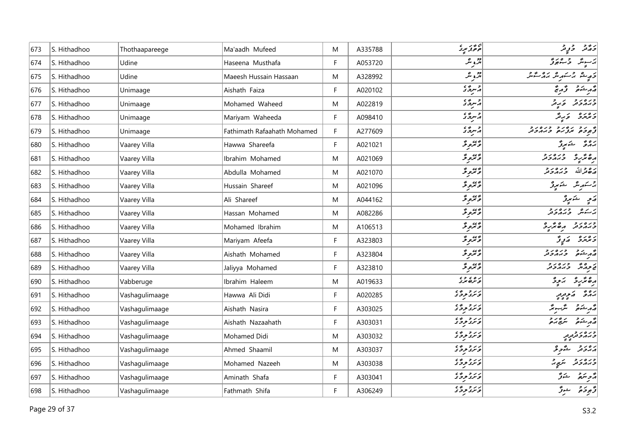| 673 | S. Hithadhoo | Thothaapareege | Ma'aadh Mufeed              | M  | A335788 | ان پر ر<br> حوج مړي                         | د وړه وړه.                                                |
|-----|--------------|----------------|-----------------------------|----|---------|---------------------------------------------|-----------------------------------------------------------|
| 674 | S. Hithadhoo | Udine          | Haseena Musthafa            | F. | A053720 | دو پر                                       | ړکې د ه ده د و                                            |
| 675 | S. Hithadhoo | Udine          | Maeesh Hussain Hassaan      | M  | A328992 | لترويثر                                     | وَرِيثْ بْرَ سَرِيرْ بَرْ مِرْ شَرْ                       |
| 676 | S. Hithadhoo | Unimaage       | Aishath Faiza               | F. | A020102 | د<br>مسرچۍ                                  | پ <sup>و</sup> مرشو ه<br>مرم<br>تر پر پچ                  |
| 677 | S. Hithadhoo | Unimaage       | Mohamed Waheed              | M  | A022819 | رمبرچری                                     | و ر ه ر د<br><i>و پر</i> پر تر<br>ر<br>ح <i>د ب</i> ر تعر |
| 678 | S. Hithadhoo | Unimaage       | Mariyam Waheeda             | F  | A098410 | د سرچ ی<br>د سرچ ی                          | ر ه ر ه<br><del>ر</del> بربرگر<br>ى بر قر                 |
| 679 | S. Hithadhoo | Unimaage       | Fathimath Rafaahath Mohamed | F  | A277609 | پرسرچ ئ<br>  پرسرچ ئ                        | ه د د رور د دره د د<br>ژبوده برژنه د بروتر                |
| 680 | S. Hithadhoo | Vaarey Villa   | Hawwa Shareefa              | F. | A021021 | ء بن<br>حر تعر حر                           | رە ئەرگە                                                  |
| 681 | S. Hithadhoo | Vaarey Villa   | Ibrahim Mohamed             | M  | A021069 | ديم و ځه                                    | و ره ر و<br><i>و ټ</i> رو تر<br>ە ھەترىرى<br>برھەترىرى    |
| 682 | S. Hithadhoo | Vaarey Villa   | Abdulla Mohamed             | M  | A021070 | ە يە<br>قەتىرموقى                           | أترة قرالله<br>و رە ر د<br><i>د بر</i> گرىر               |
| 683 | S. Hithadhoo | Vaarey Villa   | Hussain Shareef             | M  | A021096 | ە يە<br>قەنىزە بەقتى                        | چە سەر ھەر ئەسىر ئا                                       |
| 684 | S. Hithadhoo | Vaarey Villa   | Ali Shareef                 | M  | A044162 | و بر<br>  تو تعر مو محر                     | أركمني المستمير                                           |
| 685 | S. Hithadhoo | Vaarey Villa   | Hassan Mohamed              | M  | A082286 | ە ب <sub>ە</sub><br>ق <sub>ە</sub> بىر بو ق | يركب ورەرو                                                |
| 686 | S. Hithadhoo | Vaarey Villa   | Mohamed Ibrahim             | M  | A106513 | ە يە<br>قەنىرموق                            | برە ئۆرۈ<br>و ره ر د<br><i>د ب</i> رگرفر                  |
| 687 | S. Hithadhoo | Vaarey Villa   | Mariyam Afeefa              | F  | A323803 | ۇئىروقر                                     | ر ه پر ه<br>تر <i>پر</i> بر<br>ەردۇ                       |
| 688 | S. Hithadhoo | Vaarey Villa   | Aishath Mohamed             | F. | A323804 | لۇي <sub>مۇ ق</sub> ۇ                       | و رە ر د<br>تر پر تر تر<br>پە<br>مەم شىم                  |
| 689 | S. Hithadhoo | Vaarey Villa   | Jaliyya Mohamed             | F. | A323810 | ديم په مخ                                   | ر<br>فع مرارگر<br>و ره ر و<br><i>د ب</i> رگرفر            |
| 690 | S. Hithadhoo | Vabberuge      | Ibrahim Haleem              | M  | A019633 | ر ه ړ و ړ<br>و تره <del>ب</del> رړ          | دە ئەرە<br>برَجود                                         |
| 691 | S. Hithadhoo | Vashagulimaage | Hawwa Ali Didi              | F  | A020285 | ە ئىرد بورگا                                | رەپچ<br>برگر<br>ړ و درور<br>شعر شعر                       |
| 692 | S. Hithadhoo | Vashagulimaage | Aishath Nasira              | F  | A303025 | دېر د پرې                                   | ىئرسە ئىر<br>و.<br>در کشو                                 |
| 693 | S. Hithadhoo | Vashagulimaage | Aishath Nazaahath           | F  | A303031 | ر رو و پر د<br>عرکو گرفت                    | پر پور د<br>سرچ بر م<br>و مرکز در<br>مرکز مشور            |
| 694 | S. Hithadhoo | Vashagulimaage | Mohamed Didi                | M  | A303032 | ر ر د و و و ،<br>د ترد ترو د                |                                                           |
| 695 | S. Hithadhoo | Vashagulimaage | Ahmed Shaamil               | M  | A303037 | ر ر د و و و و<br>د ترو مرد د                | رەرد شەرى<br>م. <i>د</i> ونر شەرى                         |
| 696 | S. Hithadhoo | Vashagulimaage | Mohamed Nazeeh              | M  | A303038 | ر ر د و و و<br>۱۶ مرد مورد د                | ىئرىپەر<br>و ره ر و<br><i>و پر</i> پر <del>و</del> تر     |
| 697 | S. Hithadhoo | Vashagulimaage | Aminath Shafa               | F. | A303041 | ر ر د و و و                                 | أثر حريرة<br>شەڭر                                         |
| 698 | S. Hithadhoo | Vashagulimaage | Fathmath Shifa              | F  | A306249 | ر ر د و و ،<br>و ترد ترو د                  | أوَّ جوحر مُ سُورٌ                                        |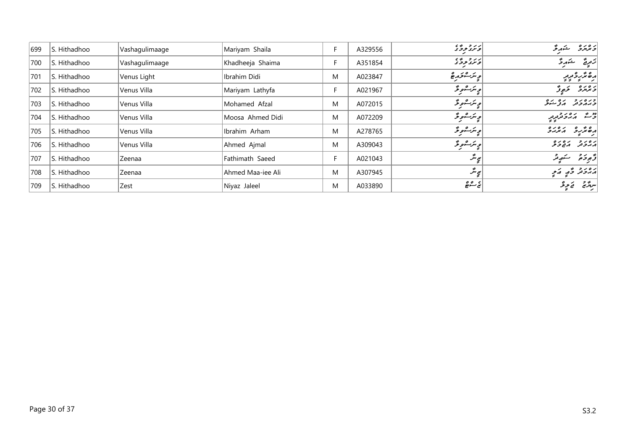| 699 | S. Hithadhoo | Vashagulimaage | Mariyam Shaila    |    | A329556 | د ر و په و<br>  و نرو وو د | ئە ئەرج<br>شتىم رنگ         |
|-----|--------------|----------------|-------------------|----|---------|----------------------------|-----------------------------|
| 700 | S. Hithadhoo | Vashagulimaage | Khadheeja Shaima  |    | A351854 | ئەنزىز مرگزى               | زَمَرِيحٌ شَہْرِدٌ          |
| 701 | S. Hithadhoo | Venus Light    | Ibrahim Didi      | M  | A023847 | عبد سكر مركز مراجع         | <br>  د ځه تر پر د وروړ     |
| 702 | S. Hithadhoo | Venus Villa    | Mariyam Lathyfa   | F  | A021967 | ءِ سَرَسْهُ ء مَّرَ        | دەرە ئېرۇ                   |
| 703 | S. Hithadhoo | Venus Villa    | Mohamed Afzal     | M  | A072015 | ءِ سَرَسْهُ ء مَّرَ        | ورەر دەردە<br>جەمەدىر مۇشكى |
| 704 | S. Hithadhoo | Venus Villa    | Moosa Ahmed Didi  | M  | A072209 | ءِ سَرَسْءُ ء مَّرَ        | وه شه پره د و د د برد که د  |
| 705 | S. Hithadhoo | Venus Villa    | Ibrahim Arham     | M  | A278765 | ءِ سَرَڪُ و مَحْر          | ە ھەترىر ۋ<br>بروره         |
| 706 | S. Hithadhoo | Venus Villa    | Ahmed Ajmal       | M  | A309043 | ءِ سَرَڪه مَرَّ            | دەرو بەەرە                  |
| 707 | S. Hithadhoo | Zeenaa         | Fathimath Saeed   | F. | A021043 | ىپ سگر                     | قرصو تر حر<br>سکوپیٹر       |
| 708 | S. Hithadhoo | Zeenaa         | Ahmed Maa-iee Ali | M  | A307945 | يح سر                      | ده د د و په په د            |
| 709 | S. Hithadhoo | Zest           | Niyaz Jaleel      | M  | A033890 | تج ڪيھ                     | سرگريج<br>تح وٍ وُ          |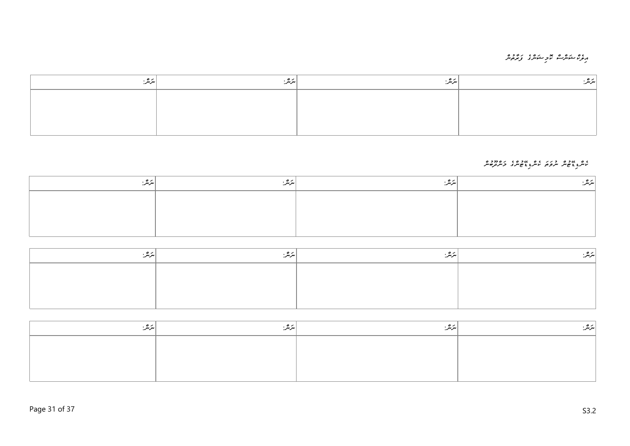## *w7qAn8m? sCw7mRo>u; wEw7mRw;sBo<*

| ' مرمر | 'يئرىثر: |
|--------|----------|
|        |          |
|        |          |
|        |          |

## *w7q9r@w7m> sCw7qHtFoFw7s; mAm=q7 w7qHtFoFw7s;*

| ىر تە | $\mathcal{O} \times$<br>$\sim$ | $\sim$<br>. . | لترنثر |
|-------|--------------------------------|---------------|--------|
|       |                                |               |        |
|       |                                |               |        |
|       |                                |               |        |

| $\frac{2}{n}$ | $\overline{\phantom{a}}$ | اير هنه. | $\mathcal{O} \times$<br>سرسر |
|---------------|--------------------------|----------|------------------------------|
|               |                          |          |                              |
|               |                          |          |                              |
|               |                          |          |                              |

| ىرتىر: | 。<br>سر سر | .,<br>مرسر |
|--------|------------|------------|
|        |            |            |
|        |            |            |
|        |            |            |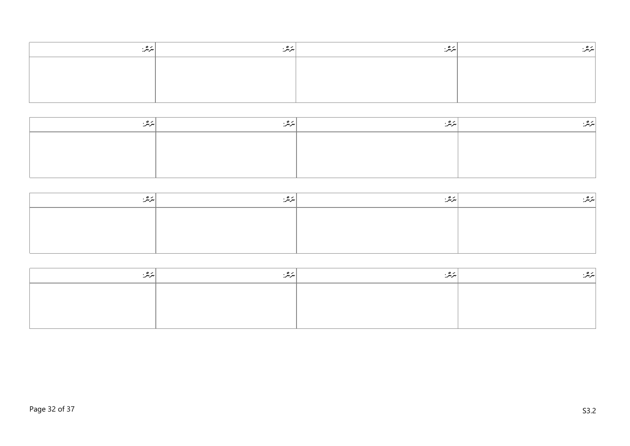| يزهر | $^{\circ}$ | ىئرىتر: |  |
|------|------------|---------|--|
|      |            |         |  |
|      |            |         |  |
|      |            |         |  |

| متريثر به | 。<br>'سرسر'۔ | يتزيترا | سرسر |
|-----------|--------------|---------|------|
|           |              |         |      |
|           |              |         |      |
|           |              |         |      |

| ىئرىتر. | $\sim$ | ا بر هه. | لىرىش |
|---------|--------|----------|-------|
|         |        |          |       |
|         |        |          |       |
|         |        |          |       |

| 。<br>مرس. | $\overline{\phantom{a}}$<br>مر مىر | يتريثر |
|-----------|------------------------------------|--------|
|           |                                    |        |
|           |                                    |        |
|           |                                    |        |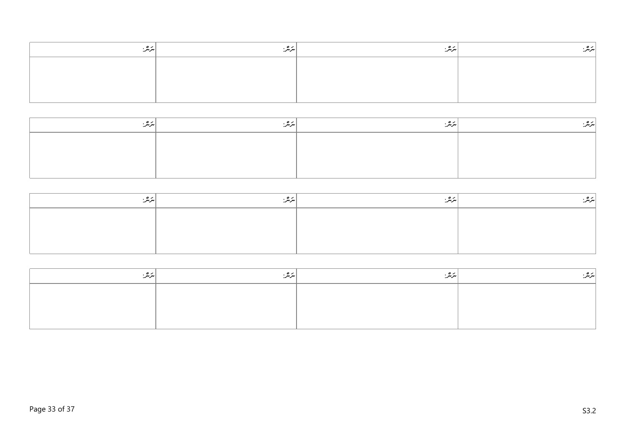| ير هو . | $\overline{\phantom{a}}$ | يرمر | اير هنه. |
|---------|--------------------------|------|----------|
|         |                          |      |          |
|         |                          |      |          |
|         |                          |      |          |

| ىبرىر. | $\sim$<br>ا سرسر . | يئرمثر | o . |
|--------|--------------------|--------|-----|
|        |                    |        |     |
|        |                    |        |     |
|        |                    |        |     |

| انترنثر: | ر ه |  |
|----------|-----|--|
|          |     |  |
|          |     |  |
|          |     |  |

|  | . ه |
|--|-----|
|  |     |
|  |     |
|  |     |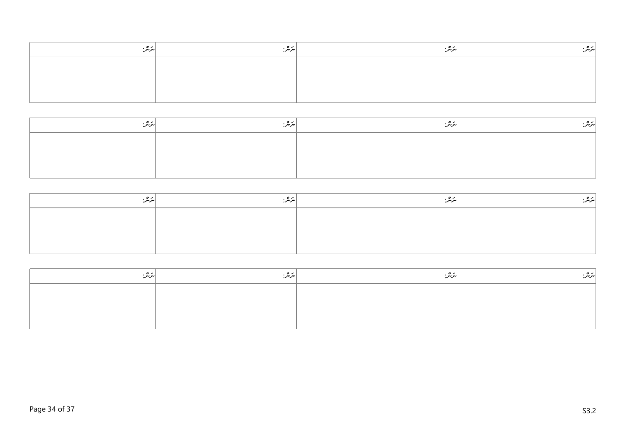| ير هو . | $\overline{\phantom{a}}$ | يرمر | اير هنه. |
|---------|--------------------------|------|----------|
|         |                          |      |          |
|         |                          |      |          |
|         |                          |      |          |

| ىر تىر: | $\circ$ $\sim$<br>" سرسر . | يترمير | o . |
|---------|----------------------------|--------|-----|
|         |                            |        |     |
|         |                            |        |     |
|         |                            |        |     |

| انترنثر: | ر ه |  |
|----------|-----|--|
|          |     |  |
|          |     |  |
|          |     |  |

|  | . ه |
|--|-----|
|  |     |
|  |     |
|  |     |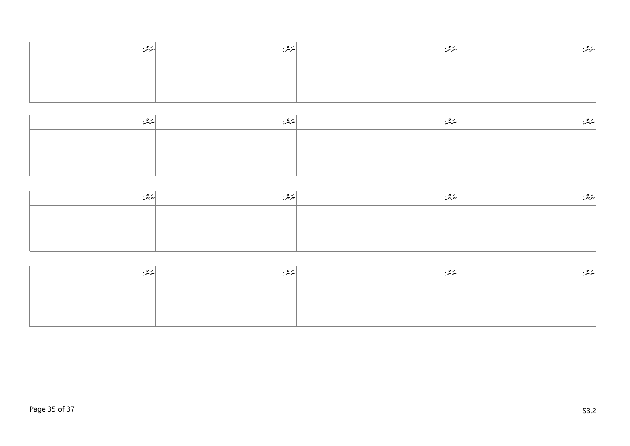| $\cdot$ | ο. | $\frac{\circ}{\cdot}$ | $\sim$<br>سرسر |
|---------|----|-----------------------|----------------|
|         |    |                       |                |
|         |    |                       |                |
|         |    |                       |                |

| يريثن | ' سرسر . |  |
|-------|----------|--|
|       |          |  |
|       |          |  |
|       |          |  |

| بره | $\overline{\phantom{a}}$ | $\overline{\phantom{a}}$<br>َ سومس |  |
|-----|--------------------------|------------------------------------|--|
|     |                          |                                    |  |
|     |                          |                                    |  |
|     |                          |                                    |  |

| 。 | سرسر. | . . |  |
|---|-------|-----|--|
|   |       |     |  |
|   |       |     |  |
|   |       |     |  |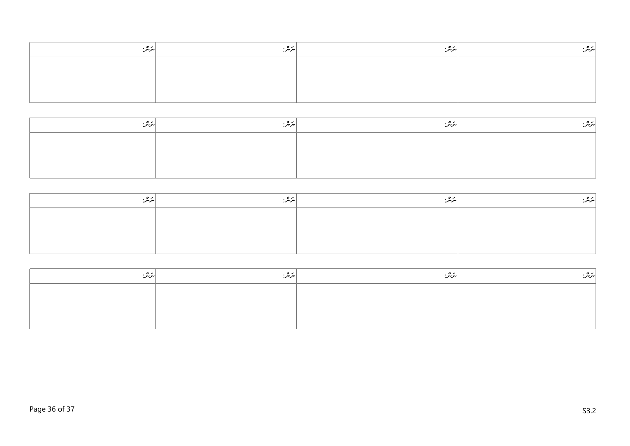| ير هو . | $\overline{\phantom{a}}$ | يرمر | لتزمثن |
|---------|--------------------------|------|--------|
|         |                          |      |        |
|         |                          |      |        |
|         |                          |      |        |

| ىر تىر: | $\circ$ $\sim$<br>" سرسر . | يترمير | o . |
|---------|----------------------------|--------|-----|
|         |                            |        |     |
|         |                            |        |     |
|         |                            |        |     |

| انترنثر: | ر ه |  |
|----------|-----|--|
|          |     |  |
|          |     |  |
|          |     |  |

|  | . ه |
|--|-----|
|  |     |
|  |     |
|  |     |